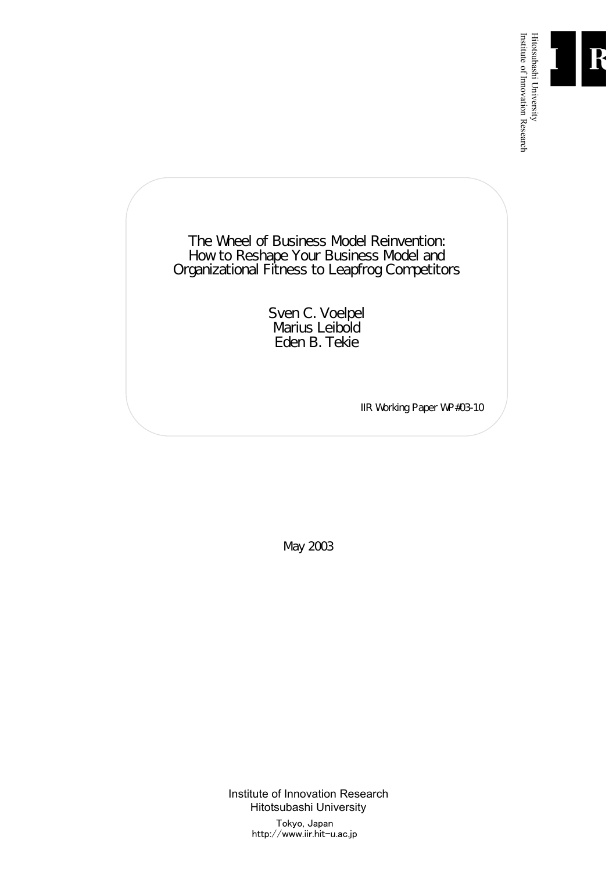

Institute of Innovation Research

The Wheel of Business Model Reinvention: How to Reshape Your Business Model and Organizational Fitness to Leapfrog Competitors

> Sven C. Voelpel Marius Leibold Eden B. Tekie

> > IIR Working Paper WP#03-10

May 2003

Institute of Innovation Research Hitotsubashi University Tokyo, Japan http://www.iir.hit-u.ac.jp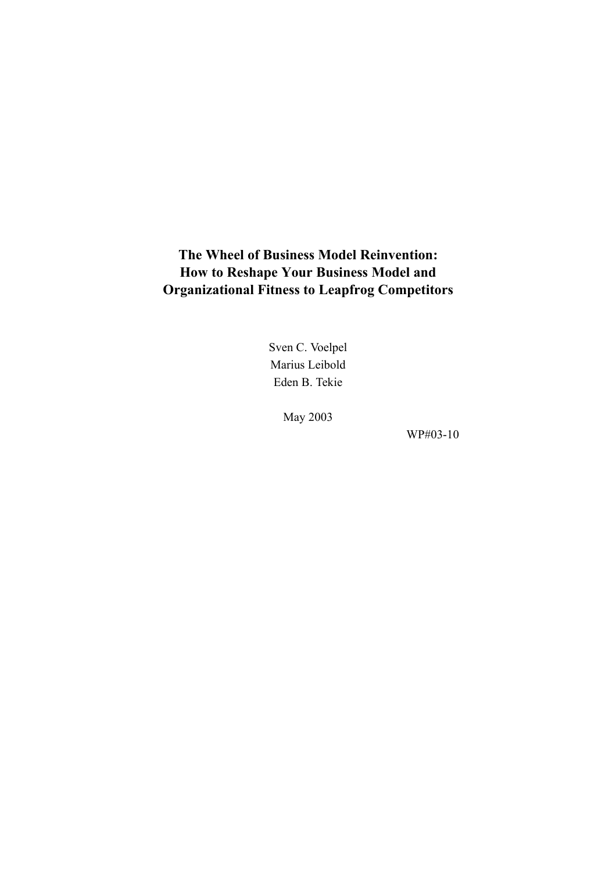## **The Wheel of Business Model Reinvention: How to Reshape Your Business Model and Organizational Fitness to Leapfrog Competitors**

Sven C. Voelpel Marius Leibold Eden B. Tekie

May 2003

WP#03-10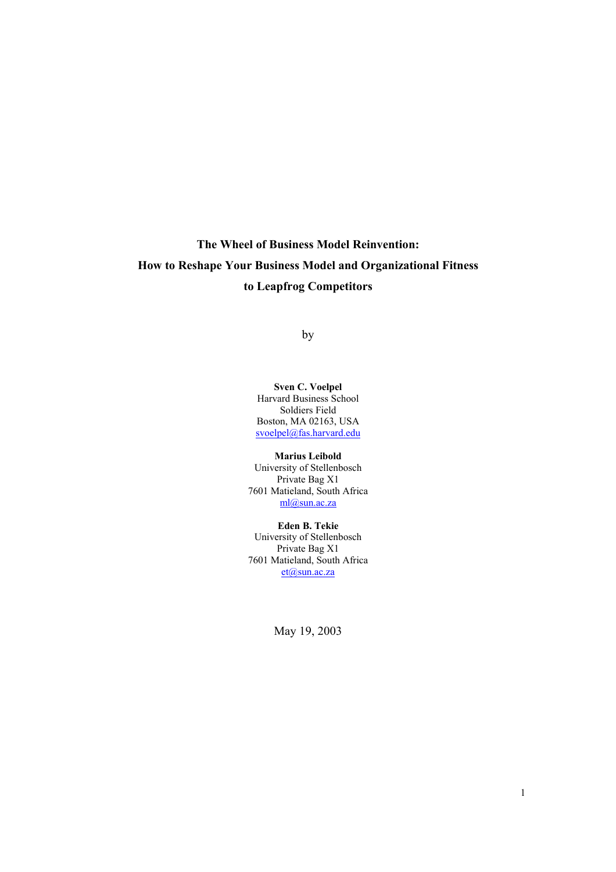# **The Wheel of Business Model Reinvention: How to Reshape Your Business Model and Organizational Fitness to Leapfrog Competitors**

by

**Sven C. Voelpel**  Harvard Business School Soldiers Field Boston, MA 02163, USA svoelpel@fas.harvard.edu

**Marius Leibold**  University of Stellenbosch Private Bag X1 7601 Matieland, South Africa ml@sun.ac.za

**Eden B. Tekie**  University of Stellenbosch Private Bag X1 7601 Matieland, South Africa et@sun.ac.za

May 19, 2003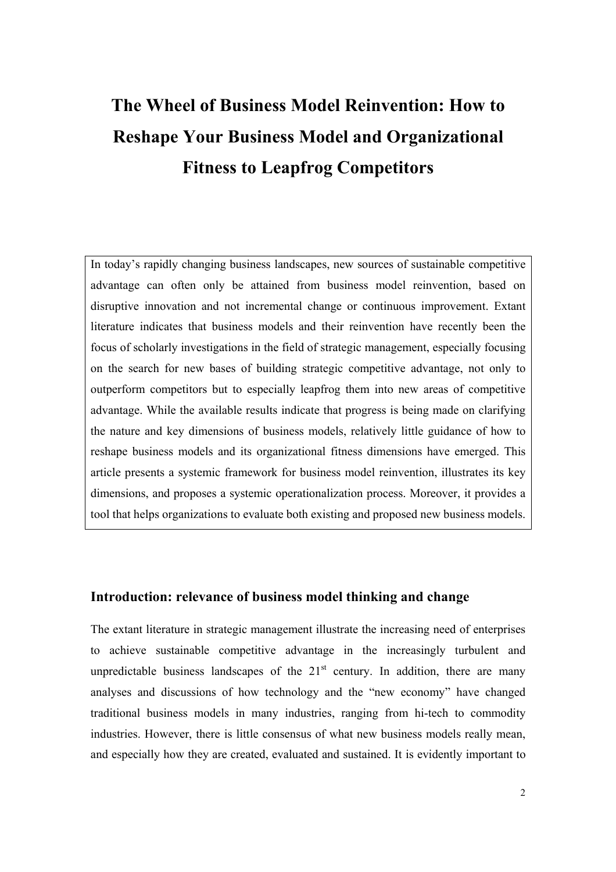# **The Wheel of Business Model Reinvention: How to Reshape Your Business Model and Organizational Fitness to Leapfrog Competitors**

In today's rapidly changing business landscapes, new sources of sustainable competitive advantage can often only be attained from business model reinvention, based on disruptive innovation and not incremental change or continuous improvement. Extant literature indicates that business models and their reinvention have recently been the focus of scholarly investigations in the field of strategic management, especially focusing on the search for new bases of building strategic competitive advantage, not only to outperform competitors but to especially leapfrog them into new areas of competitive advantage. While the available results indicate that progress is being made on clarifying the nature and key dimensions of business models, relatively little guidance of how to reshape business models and its organizational fitness dimensions have emerged. This article presents a systemic framework for business model reinvention, illustrates its key dimensions, and proposes a systemic operationalization process. Moreover, it provides a tool that helps organizations to evaluate both existing and proposed new business models.

## **Introduction: relevance of business model thinking and change**

The extant literature in strategic management illustrate the increasing need of enterprises to achieve sustainable competitive advantage in the increasingly turbulent and unpredictable business landscapes of the  $21<sup>st</sup>$  century. In addition, there are many analyses and discussions of how technology and the "new economy" have changed traditional business models in many industries, ranging from hi-tech to commodity industries. However, there is little consensus of what new business models really mean, and especially how they are created, evaluated and sustained. It is evidently important to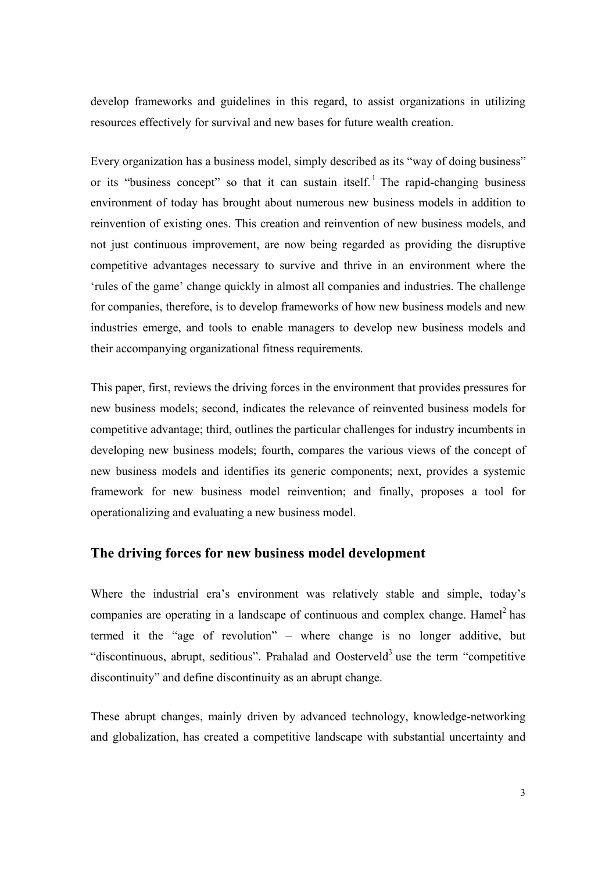develop frameworks and guidelines in this regard, to assist organizations in utilizing resources effectively for survival and new bases for future wealth creation.

Every organization has a business model, simply described as its "way of doing business" or its "business concept" so that it can sustain itself.<sup>1</sup> The rapid-changing business environment of today has brought about numerous new business models in addition to reinvention of existing ones. This creation and reinvention of new business models, and not just continuous improvement, are now being regarded as providing the disruptive competitive advantages necessary to survive and thrive in an environment where the 'rules of the game' change quickly in almost all companies and industries. The challenge for companies, therefore, is to develop frameworks of how new business models and new industries emerge, and tools to enable managers to develop new business models and their accompanying organizational fitness requirements.

This paper, first, reviews the driving forces in the environment that provides pressures for new business models; second, indicates the relevance of reinvented business models for competitive advantage; third, outlines the particular challenges for industry incumbents in developing new business models; fourth, compares the various views of the concept of new business models and identifies its generic components; next, provides a systemic framework for new business model reinvention; and finally, proposes a tool for operationalizing and evaluating a new business model.

## **The driving forces for new business model development**

Where the industrial era's environment was relatively stable and simple, today's companies are operating in a landscape of continuous and complex change. Hamel<sup>2</sup> has termed it the "age of revolution" – where change is no longer additive, but "discontinuous, abrupt, seditious". Prahalad and Oosterveld<sup>3</sup> use the term "competitive discontinuity" and define discontinuity as an abrupt change.

These abrupt changes, mainly driven by advanced technology, knowledge-networking and globalization, has created a competitive landscape with substantial uncertainty and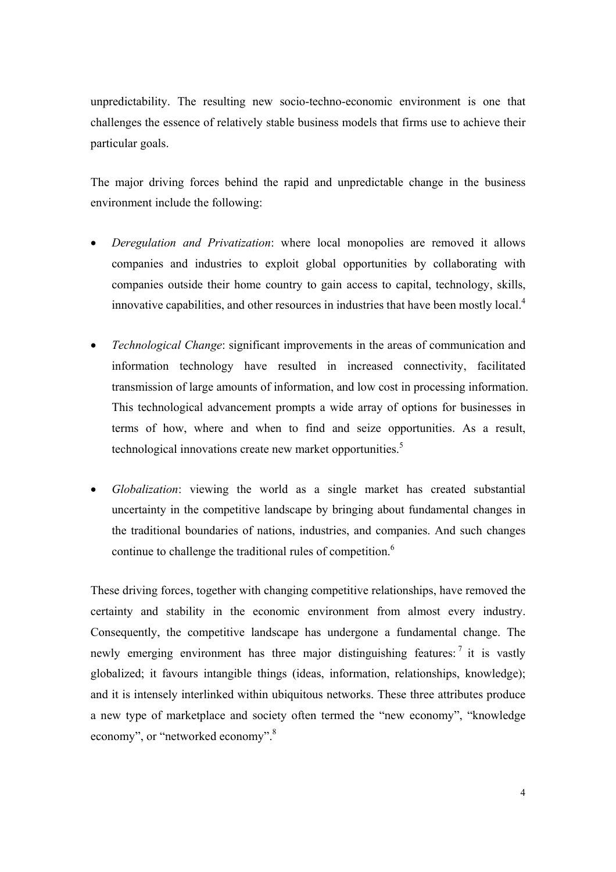unpredictability. The resulting new socio-techno-economic environment is one that challenges the essence of relatively stable business models that firms use to achieve their particular goals.

The major driving forces behind the rapid and unpredictable change in the business environment include the following:

- *Deregulation and Privatization*: where local monopolies are removed it allows companies and industries to exploit global opportunities by collaborating with companies outside their home country to gain access to capital, technology, skills, innovative capabilities, and other resources in industries that have been mostly local.4
- *Technological Change*: significant improvements in the areas of communication and information technology have resulted in increased connectivity, facilitated transmission of large amounts of information, and low cost in processing information. This technological advancement prompts a wide array of options for businesses in terms of how, where and when to find and seize opportunities. As a result, technological innovations create new market opportunities.<sup>5</sup>
- *Globalization*: viewing the world as a single market has created substantial uncertainty in the competitive landscape by bringing about fundamental changes in the traditional boundaries of nations, industries, and companies. And such changes continue to challenge the traditional rules of competition.<sup>6</sup>

These driving forces, together with changing competitive relationships, have removed the certainty and stability in the economic environment from almost every industry. Consequently, the competitive landscape has undergone a fundamental change. The newly emerging environment has three major distinguishing features:  $\frac{1}{1}$  it is vastly globalized; it favours intangible things (ideas, information, relationships, knowledge); and it is intensely interlinked within ubiquitous networks. These three attributes produce a new type of marketplace and society often termed the "new economy", "knowledge economy", or "networked economy".<sup>8</sup>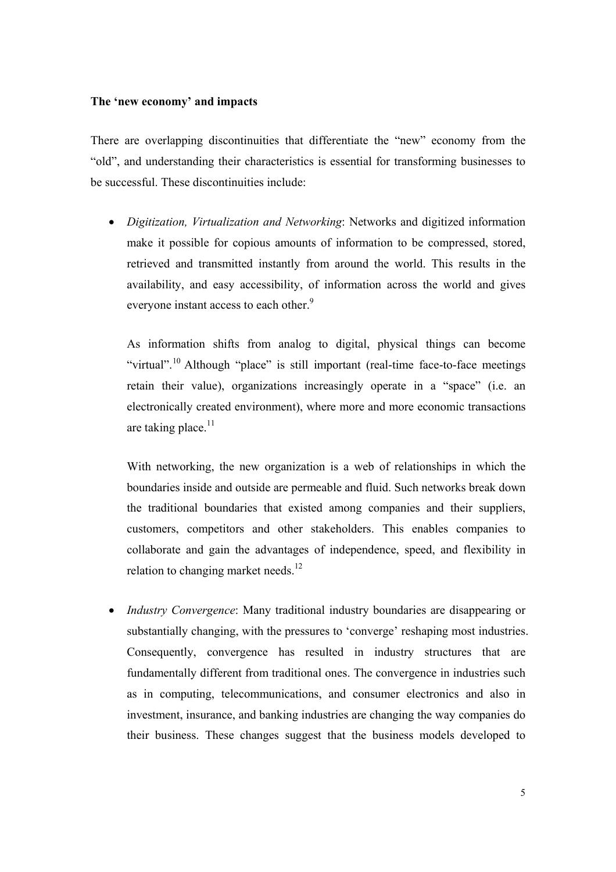#### **The 'new economy' and impacts**

There are overlapping discontinuities that differentiate the "new" economy from the "old", and understanding their characteristics is essential for transforming businesses to be successful. These discontinuities include:

• *Digitization, Virtualization and Networking*: Networks and digitized information make it possible for copious amounts of information to be compressed, stored, retrieved and transmitted instantly from around the world. This results in the availability, and easy accessibility, of information across the world and gives everyone instant access to each other.<sup>9</sup>

As information shifts from analog to digital, physical things can become "virtual".<sup>10</sup> Although "place" is still important (real-time face-to-face meetings retain their value), organizations increasingly operate in a "space" (i.e. an electronically created environment), where more and more economic transactions are taking place. $11$ 

With networking, the new organization is a web of relationships in which the boundaries inside and outside are permeable and fluid. Such networks break down the traditional boundaries that existed among companies and their suppliers, customers, competitors and other stakeholders. This enables companies to collaborate and gain the advantages of independence, speed, and flexibility in relation to changing market needs.<sup>12</sup>

• *Industry Convergence*: Many traditional industry boundaries are disappearing or substantially changing, with the pressures to 'converge' reshaping most industries. Consequently, convergence has resulted in industry structures that are fundamentally different from traditional ones. The convergence in industries such as in computing, telecommunications, and consumer electronics and also in investment, insurance, and banking industries are changing the way companies do their business. These changes suggest that the business models developed to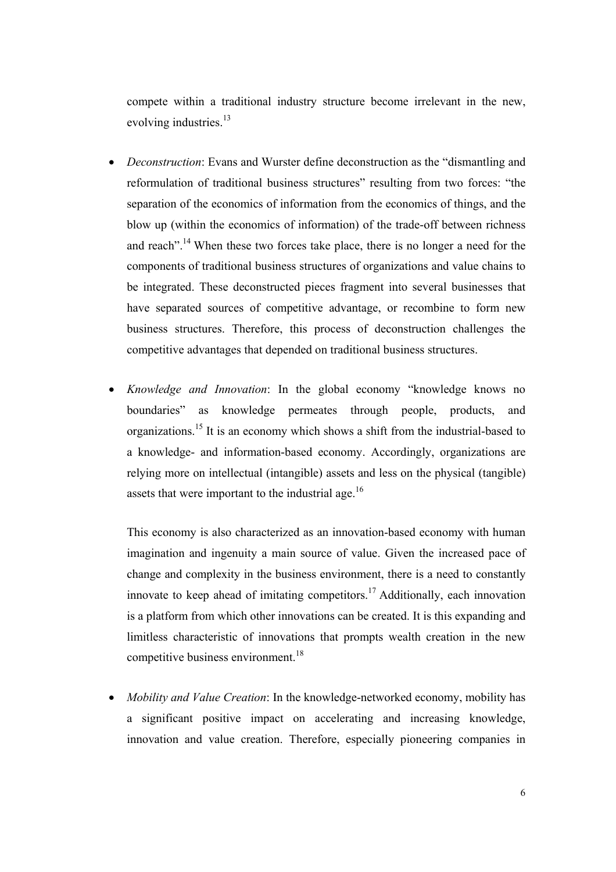compete within a traditional industry structure become irrelevant in the new, evolving industries.<sup>13</sup>

- *Deconstruction*: Evans and Wurster define deconstruction as the "dismantling and reformulation of traditional business structures" resulting from two forces: "the separation of the economics of information from the economics of things, and the blow up (within the economics of information) of the trade-off between richness and reach".<sup>14</sup> When these two forces take place, there is no longer a need for the components of traditional business structures of organizations and value chains to be integrated. These deconstructed pieces fragment into several businesses that have separated sources of competitive advantage, or recombine to form new business structures. Therefore, this process of deconstruction challenges the competitive advantages that depended on traditional business structures.
- *Knowledge and Innovation*: In the global economy "knowledge knows no boundaries" as knowledge permeates through people, products, and organizations.15 It is an economy which shows a shift from the industrial-based to a knowledge- and information-based economy. Accordingly, organizations are relying more on intellectual (intangible) assets and less on the physical (tangible) assets that were important to the industrial age.<sup>16</sup>

This economy is also characterized as an innovation-based economy with human imagination and ingenuity a main source of value. Given the increased pace of change and complexity in the business environment, there is a need to constantly innovate to keep ahead of imitating competitors.<sup>17</sup> Additionally, each innovation is a platform from which other innovations can be created. It is this expanding and limitless characteristic of innovations that prompts wealth creation in the new competitive business environment.<sup>18</sup>

• *Mobility and Value Creation*: In the knowledge-networked economy, mobility has a significant positive impact on accelerating and increasing knowledge, innovation and value creation. Therefore, especially pioneering companies in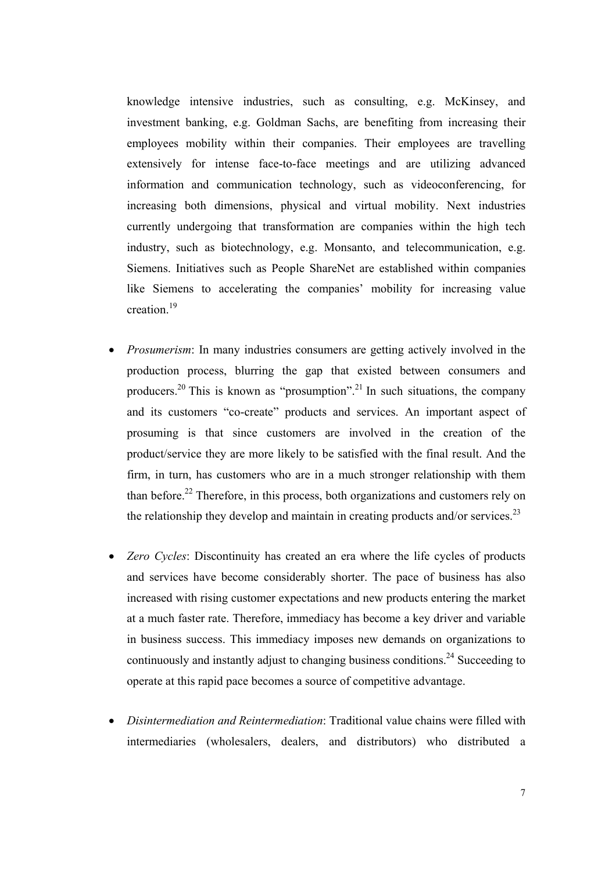knowledge intensive industries, such as consulting, e.g. McKinsey, and investment banking, e.g. Goldman Sachs, are benefiting from increasing their employees mobility within their companies. Their employees are travelling extensively for intense face-to-face meetings and are utilizing advanced information and communication technology, such as videoconferencing, for increasing both dimensions, physical and virtual mobility. Next industries currently undergoing that transformation are companies within the high tech industry, such as biotechnology, e.g. Monsanto, and telecommunication, e.g. Siemens. Initiatives such as People ShareNet are established within companies like Siemens to accelerating the companies' mobility for increasing value  $c$ reation<sup>19</sup>

- *Prosumerism*: In many industries consumers are getting actively involved in the production process, blurring the gap that existed between consumers and producers.<sup>20</sup> This is known as "prosumption".<sup>21</sup> In such situations, the company and its customers "co-create" products and services. An important aspect of prosuming is that since customers are involved in the creation of the product/service they are more likely to be satisfied with the final result. And the firm, in turn, has customers who are in a much stronger relationship with them than before.<sup>22</sup> Therefore, in this process, both organizations and customers rely on the relationship they develop and maintain in creating products and/or services.<sup>23</sup>
- *Zero Cycles*: Discontinuity has created an era where the life cycles of products and services have become considerably shorter. The pace of business has also increased with rising customer expectations and new products entering the market at a much faster rate. Therefore, immediacy has become a key driver and variable in business success. This immediacy imposes new demands on organizations to continuously and instantly adjust to changing business conditions.<sup>24</sup> Succeeding to operate at this rapid pace becomes a source of competitive advantage.
- *Disintermediation and Reintermediation*: Traditional value chains were filled with intermediaries (wholesalers, dealers, and distributors) who distributed a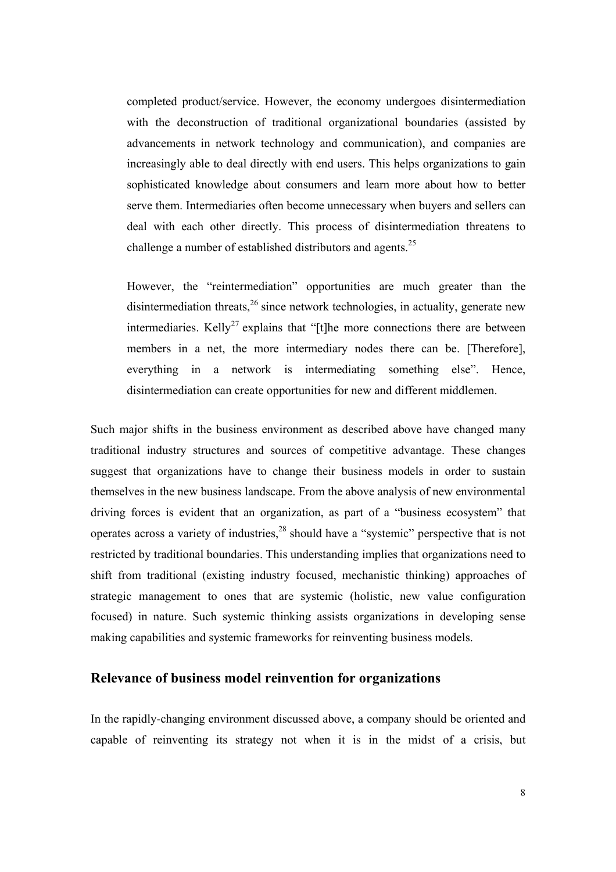completed product/service. However, the economy undergoes disintermediation with the deconstruction of traditional organizational boundaries (assisted by advancements in network technology and communication), and companies are increasingly able to deal directly with end users. This helps organizations to gain sophisticated knowledge about consumers and learn more about how to better serve them. Intermediaries often become unnecessary when buyers and sellers can deal with each other directly. This process of disintermediation threatens to challenge a number of established distributors and agents.<sup>25</sup>

However, the "reintermediation" opportunities are much greater than the disintermediation threats,  $26$  since network technologies, in actuality, generate new intermediaries. Kelly<sup>27</sup> explains that "[t]he more connections there are between members in a net, the more intermediary nodes there can be. [Therefore], everything in a network is intermediating something else". Hence, disintermediation can create opportunities for new and different middlemen.

Such major shifts in the business environment as described above have changed many traditional industry structures and sources of competitive advantage. These changes suggest that organizations have to change their business models in order to sustain themselves in the new business landscape. From the above analysis of new environmental driving forces is evident that an organization, as part of a "business ecosystem" that operates across a variety of industries, $28$  should have a "systemic" perspective that is not restricted by traditional boundaries. This understanding implies that organizations need to shift from traditional (existing industry focused, mechanistic thinking) approaches of strategic management to ones that are systemic (holistic, new value configuration focused) in nature. Such systemic thinking assists organizations in developing sense making capabilities and systemic frameworks for reinventing business models.

## **Relevance of business model reinvention for organizations**

In the rapidly-changing environment discussed above, a company should be oriented and capable of reinventing its strategy not when it is in the midst of a crisis, but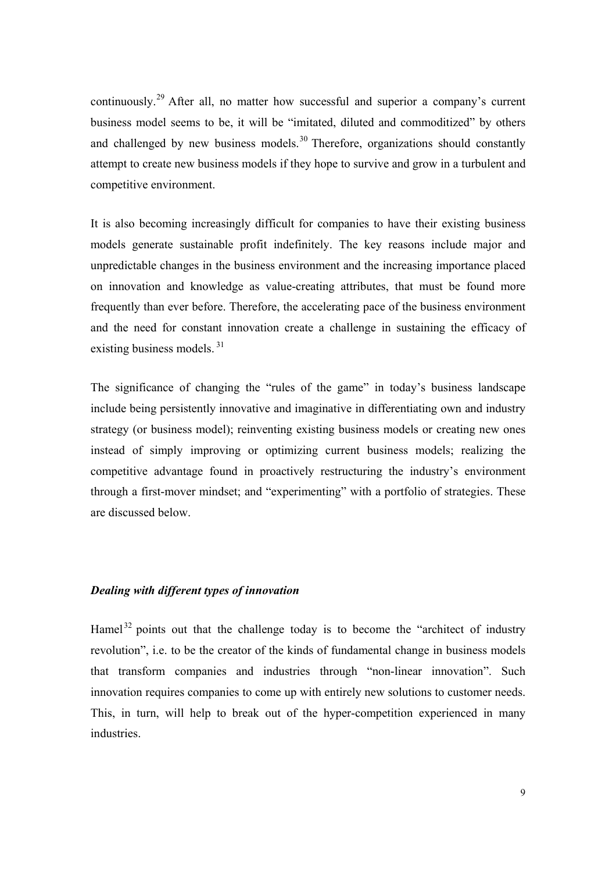continuously.29 After all, no matter how successful and superior a company's current business model seems to be, it will be "imitated, diluted and commoditized" by others and challenged by new business models.<sup>30</sup> Therefore, organizations should constantly attempt to create new business models if they hope to survive and grow in a turbulent and competitive environment.

It is also becoming increasingly difficult for companies to have their existing business models generate sustainable profit indefinitely. The key reasons include major and unpredictable changes in the business environment and the increasing importance placed on innovation and knowledge as value-creating attributes, that must be found more frequently than ever before. Therefore, the accelerating pace of the business environment and the need for constant innovation create a challenge in sustaining the efficacy of existing business models.<sup>31</sup>

The significance of changing the "rules of the game" in today's business landscape include being persistently innovative and imaginative in differentiating own and industry strategy (or business model); reinventing existing business models or creating new ones instead of simply improving or optimizing current business models; realizing the competitive advantage found in proactively restructuring the industry's environment through a first-mover mindset; and "experimenting" with a portfolio of strategies. These are discussed below.

## *Dealing with different types of innovation*

Hamel<sup>32</sup> points out that the challenge today is to become the "architect of industry" revolution", i.e. to be the creator of the kinds of fundamental change in business models that transform companies and industries through "non-linear innovation". Such innovation requires companies to come up with entirely new solutions to customer needs. This, in turn, will help to break out of the hyper-competition experienced in many **industries**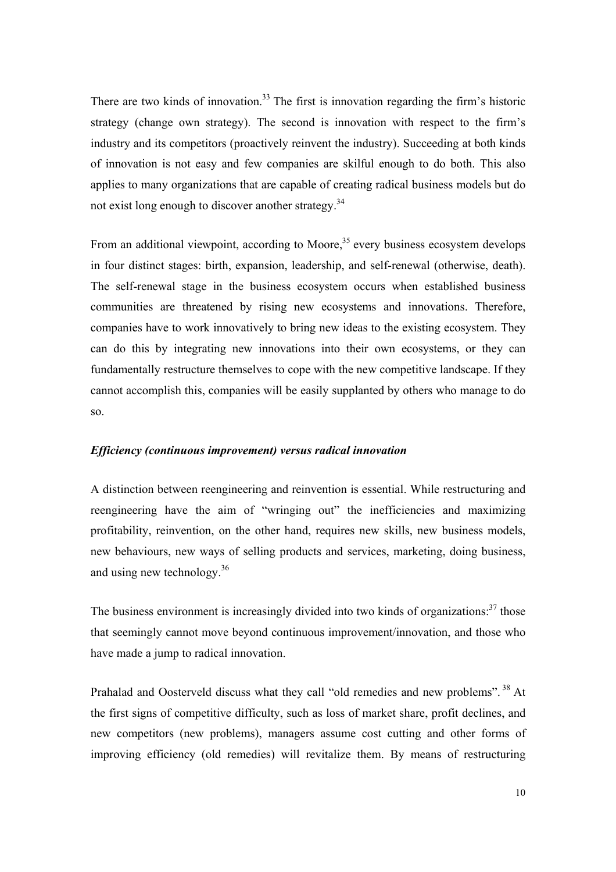There are two kinds of innovation.<sup>33</sup> The first is innovation regarding the firm's historic strategy (change own strategy). The second is innovation with respect to the firm's industry and its competitors (proactively reinvent the industry). Succeeding at both kinds of innovation is not easy and few companies are skilful enough to do both. This also applies to many organizations that are capable of creating radical business models but do not exist long enough to discover another strategy.<sup>34</sup>

From an additional viewpoint, according to Moore,  $35$  every business ecosystem develops in four distinct stages: birth, expansion, leadership, and self-renewal (otherwise, death). The self-renewal stage in the business ecosystem occurs when established business communities are threatened by rising new ecosystems and innovations. Therefore, companies have to work innovatively to bring new ideas to the existing ecosystem. They can do this by integrating new innovations into their own ecosystems, or they can fundamentally restructure themselves to cope with the new competitive landscape. If they cannot accomplish this, companies will be easily supplanted by others who manage to do so.

#### *Efficiency (continuous improvement) versus radical innovation*

A distinction between reengineering and reinvention is essential. While restructuring and reengineering have the aim of "wringing out" the inefficiencies and maximizing profitability, reinvention, on the other hand, requires new skills, new business models, new behaviours, new ways of selling products and services, marketing, doing business, and using new technology.<sup>36</sup>

The business environment is increasingly divided into two kinds of organizations: $37$  those that seemingly cannot move beyond continuous improvement/innovation, and those who have made a jump to radical innovation.

Prahalad and Oosterveld discuss what they call "old remedies and new problems".<sup>38</sup> At the first signs of competitive difficulty, such as loss of market share, profit declines, and new competitors (new problems), managers assume cost cutting and other forms of improving efficiency (old remedies) will revitalize them. By means of restructuring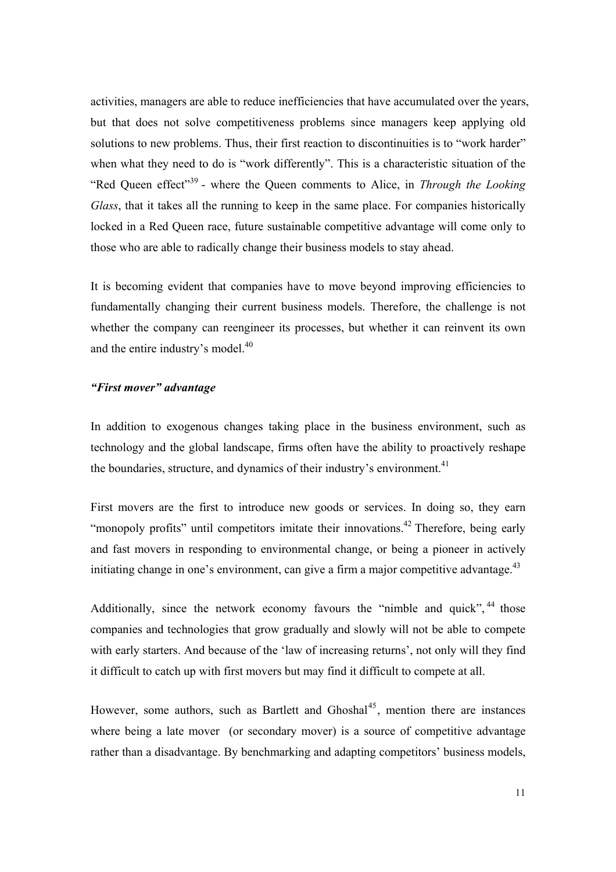activities, managers are able to reduce inefficiencies that have accumulated over the years, but that does not solve competitiveness problems since managers keep applying old solutions to new problems. Thus, their first reaction to discontinuities is to "work harder" when what they need to do is "work differently". This is a characteristic situation of the "Red Queen effect"39 - where the Queen comments to Alice, in *Through the Looking Glass*, that it takes all the running to keep in the same place. For companies historically locked in a Red Queen race, future sustainable competitive advantage will come only to those who are able to radically change their business models to stay ahead.

It is becoming evident that companies have to move beyond improving efficiencies to fundamentally changing their current business models. Therefore, the challenge is not whether the company can reengineer its processes, but whether it can reinvent its own and the entire industry's model.<sup>40</sup>

## *"First mover" advantage*

In addition to exogenous changes taking place in the business environment, such as technology and the global landscape, firms often have the ability to proactively reshape the boundaries, structure, and dynamics of their industry's environment.<sup>41</sup>

First movers are the first to introduce new goods or services. In doing so, they earn "monopoly profits" until competitors imitate their innovations.<sup>42</sup> Therefore, being early and fast movers in responding to environmental change, or being a pioneer in actively initiating change in one's environment, can give a firm a major competitive advantage.  $43$ 

Additionally, since the network economy favours the "nimble and quick", <sup>44</sup> those companies and technologies that grow gradually and slowly will not be able to compete with early starters. And because of the 'law of increasing returns', not only will they find it difficult to catch up with first movers but may find it difficult to compete at all.

However, some authors, such as Bartlett and Ghoshal<sup>45</sup>, mention there are instances where being a late mover (or secondary mover) is a source of competitive advantage rather than a disadvantage. By benchmarking and adapting competitors' business models,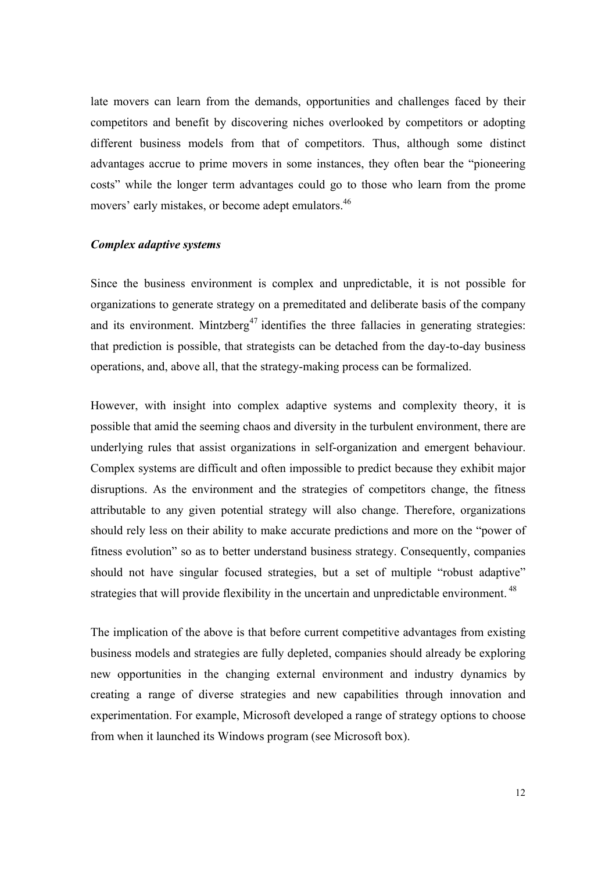late movers can learn from the demands, opportunities and challenges faced by their competitors and benefit by discovering niches overlooked by competitors or adopting different business models from that of competitors. Thus, although some distinct advantages accrue to prime movers in some instances, they often bear the "pioneering costs" while the longer term advantages could go to those who learn from the prome movers' early mistakes, or become adept emulators.<sup>46</sup>

#### *Complex adaptive systems*

Since the business environment is complex and unpredictable, it is not possible for organizations to generate strategy on a premeditated and deliberate basis of the company and its environment. Mintzberg<sup>47</sup> identifies the three fallacies in generating strategies: that prediction is possible, that strategists can be detached from the day-to-day business operations, and, above all, that the strategy-making process can be formalized.

However, with insight into complex adaptive systems and complexity theory, it is possible that amid the seeming chaos and diversity in the turbulent environment, there are underlying rules that assist organizations in self-organization and emergent behaviour. Complex systems are difficult and often impossible to predict because they exhibit major disruptions. As the environment and the strategies of competitors change, the fitness attributable to any given potential strategy will also change. Therefore, organizations should rely less on their ability to make accurate predictions and more on the "power of fitness evolution" so as to better understand business strategy. Consequently, companies should not have singular focused strategies, but a set of multiple "robust adaptive" strategies that will provide flexibility in the uncertain and unpredictable environment.<sup>48</sup>

The implication of the above is that before current competitive advantages from existing business models and strategies are fully depleted, companies should already be exploring new opportunities in the changing external environment and industry dynamics by creating a range of diverse strategies and new capabilities through innovation and experimentation. For example, Microsoft developed a range of strategy options to choose from when it launched its Windows program (see Microsoft box).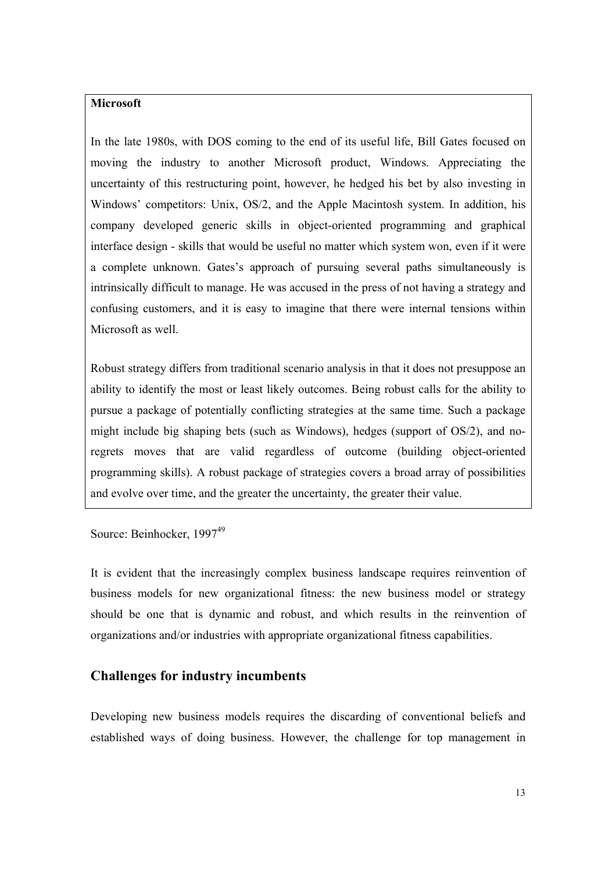## **Microsoft**

In the late 1980s, with DOS coming to the end of its useful life, Bill Gates focused on moving the industry to another Microsoft product, Windows. Appreciating the uncertainty of this restructuring point, however, he hedged his bet by also investing in Windows' competitors: Unix, OS/2, and the Apple Macintosh system. In addition, his company developed generic skills in object-oriented programming and graphical interface design - skills that would be useful no matter which system won, even if it were a complete unknown. Gates's approach of pursuing several paths simultaneously is intrinsically difficult to manage. He was accused in the press of not having a strategy and confusing customers, and it is easy to imagine that there were internal tensions within Microsoft as well.

Robust strategy differs from traditional scenario analysis in that it does not presuppose an ability to identify the most or least likely outcomes. Being robust calls for the ability to pursue a package of potentially conflicting strategies at the same time. Such a package might include big shaping bets (such as Windows), hedges (support of OS/2), and noregrets moves that are valid regardless of outcome (building object-oriented programming skills). A robust package of strategies covers a broad array of possibilities and evolve over time, and the greater the uncertainty, the greater their value.

Source: Beinhocker, 1997<sup>49</sup>

It is evident that the increasingly complex business landscape requires reinvention of business models for new organizational fitness: the new business model or strategy should be one that is dynamic and robust, and which results in the reinvention of organizations and/or industries with appropriate organizational fitness capabilities.

## **Challenges for industry incumbents**

Developing new business models requires the discarding of conventional beliefs and established ways of doing business. However, the challenge for top management in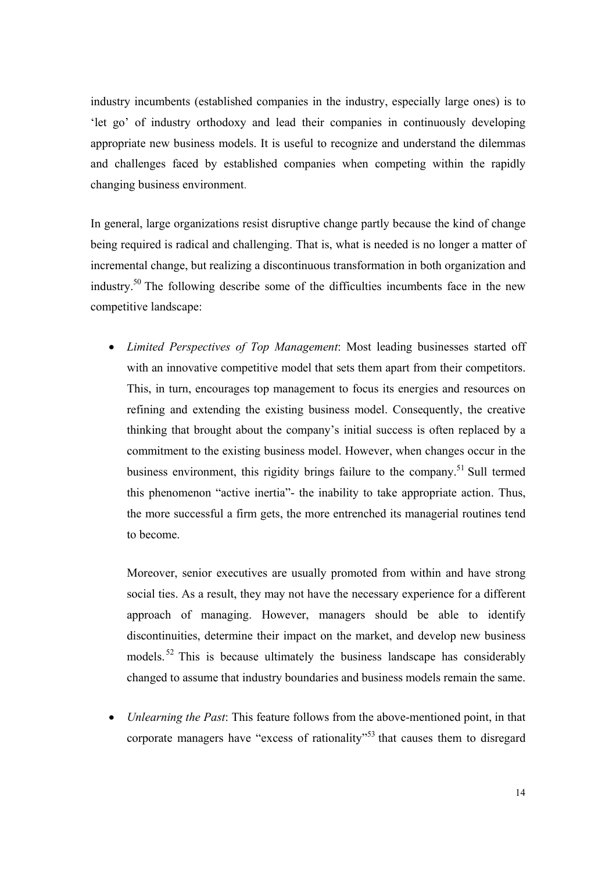industry incumbents (established companies in the industry, especially large ones) is to 'let go' of industry orthodoxy and lead their companies in continuously developing appropriate new business models. It is useful to recognize and understand the dilemmas and challenges faced by established companies when competing within the rapidly changing business environment.

In general, large organizations resist disruptive change partly because the kind of change being required is radical and challenging. That is, what is needed is no longer a matter of incremental change, but realizing a discontinuous transformation in both organization and industry.50 The following describe some of the difficulties incumbents face in the new competitive landscape:

• *Limited Perspectives of Top Management*: Most leading businesses started off with an innovative competitive model that sets them apart from their competitors. This, in turn, encourages top management to focus its energies and resources on refining and extending the existing business model. Consequently, the creative thinking that brought about the company's initial success is often replaced by a commitment to the existing business model. However, when changes occur in the business environment, this rigidity brings failure to the company.<sup>51</sup> Sull termed this phenomenon "active inertia"- the inability to take appropriate action. Thus, the more successful a firm gets, the more entrenched its managerial routines tend to become.

Moreover, senior executives are usually promoted from within and have strong social ties. As a result, they may not have the necessary experience for a different approach of managing. However, managers should be able to identify discontinuities, determine their impact on the market, and develop new business models. 52 This is because ultimately the business landscape has considerably changed to assume that industry boundaries and business models remain the same.

• *Unlearning the Past*: This feature follows from the above-mentioned point, in that corporate managers have "excess of rationality"<sup>53</sup> that causes them to disregard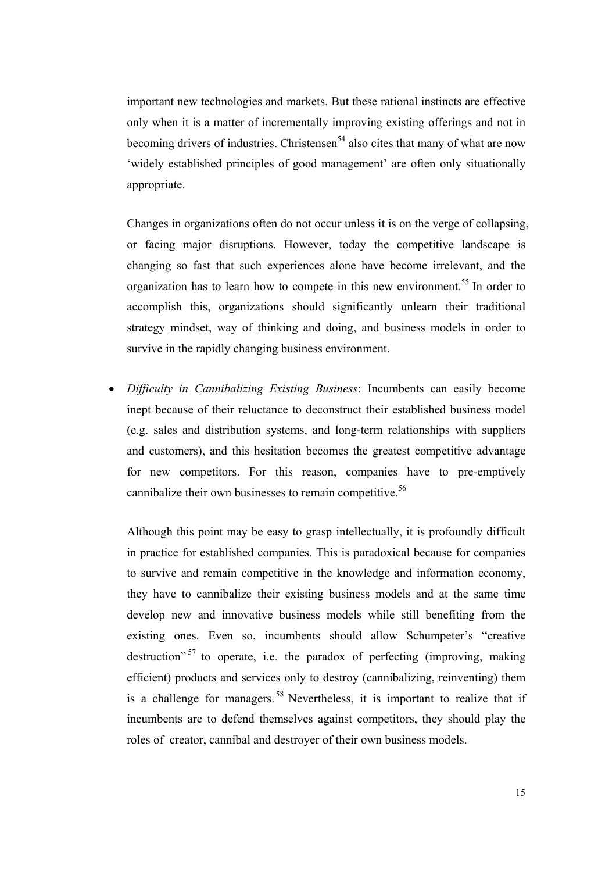important new technologies and markets. But these rational instincts are effective only when it is a matter of incrementally improving existing offerings and not in becoming drivers of industries. Christensen<sup>54</sup> also cites that many of what are now 'widely established principles of good management' are often only situationally appropriate.

Changes in organizations often do not occur unless it is on the verge of collapsing, or facing major disruptions. However, today the competitive landscape is changing so fast that such experiences alone have become irrelevant, and the organization has to learn how to compete in this new environment.<sup>55</sup> In order to accomplish this, organizations should significantly unlearn their traditional strategy mindset, way of thinking and doing, and business models in order to survive in the rapidly changing business environment.

• *Difficulty in Cannibalizing Existing Business*: Incumbents can easily become inept because of their reluctance to deconstruct their established business model (e.g. sales and distribution systems, and long-term relationships with suppliers and customers), and this hesitation becomes the greatest competitive advantage for new competitors. For this reason, companies have to pre-emptively cannibalize their own businesses to remain competitive.<sup>56</sup>

Although this point may be easy to grasp intellectually, it is profoundly difficult in practice for established companies. This is paradoxical because for companies to survive and remain competitive in the knowledge and information economy, they have to cannibalize their existing business models and at the same time develop new and innovative business models while still benefiting from the existing ones. Even so, incumbents should allow Schumpeter's "creative destruction<sup>" 57</sup> to operate, i.e. the paradox of perfecting (improving, making efficient) products and services only to destroy (cannibalizing, reinventing) them is a challenge for managers.  $58$  Nevertheless, it is important to realize that if incumbents are to defend themselves against competitors, they should play the roles of creator, cannibal and destroyer of their own business models.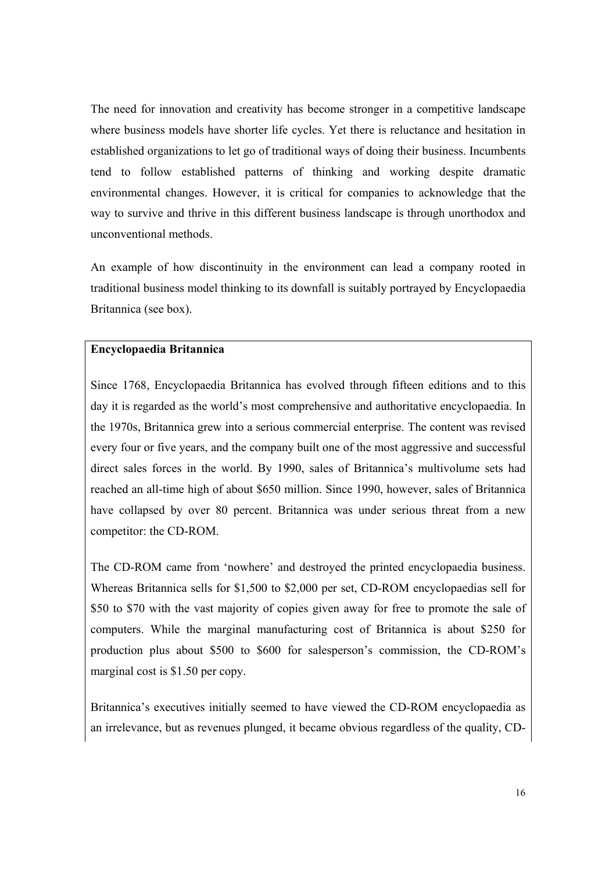The need for innovation and creativity has become stronger in a competitive landscape where business models have shorter life cycles. Yet there is reluctance and hesitation in established organizations to let go of traditional ways of doing their business. Incumbents tend to follow established patterns of thinking and working despite dramatic environmental changes. However, it is critical for companies to acknowledge that the way to survive and thrive in this different business landscape is through unorthodox and unconventional methods.

An example of how discontinuity in the environment can lead a company rooted in traditional business model thinking to its downfall is suitably portrayed by Encyclopaedia Britannica (see box).

### **Encyclopaedia Britannica**

Since 1768, Encyclopaedia Britannica has evolved through fifteen editions and to this day it is regarded as the world's most comprehensive and authoritative encyclopaedia. In the 1970s, Britannica grew into a serious commercial enterprise. The content was revised every four or five years, and the company built one of the most aggressive and successful direct sales forces in the world. By 1990, sales of Britannica's multivolume sets had reached an all-time high of about \$650 million. Since 1990, however, sales of Britannica have collapsed by over 80 percent. Britannica was under serious threat from a new competitor: the CD-ROM.

The CD-ROM came from 'nowhere' and destroyed the printed encyclopaedia business. Whereas Britannica sells for \$1,500 to \$2,000 per set, CD-ROM encyclopaedias sell for \$50 to \$70 with the vast majority of copies given away for free to promote the sale of computers. While the marginal manufacturing cost of Britannica is about \$250 for production plus about \$500 to \$600 for salesperson's commission, the CD-ROM's marginal cost is \$1.50 per copy.

Britannica's executives initially seemed to have viewed the CD-ROM encyclopaedia as an irrelevance, but as revenues plunged, it became obvious regardless of the quality, CD-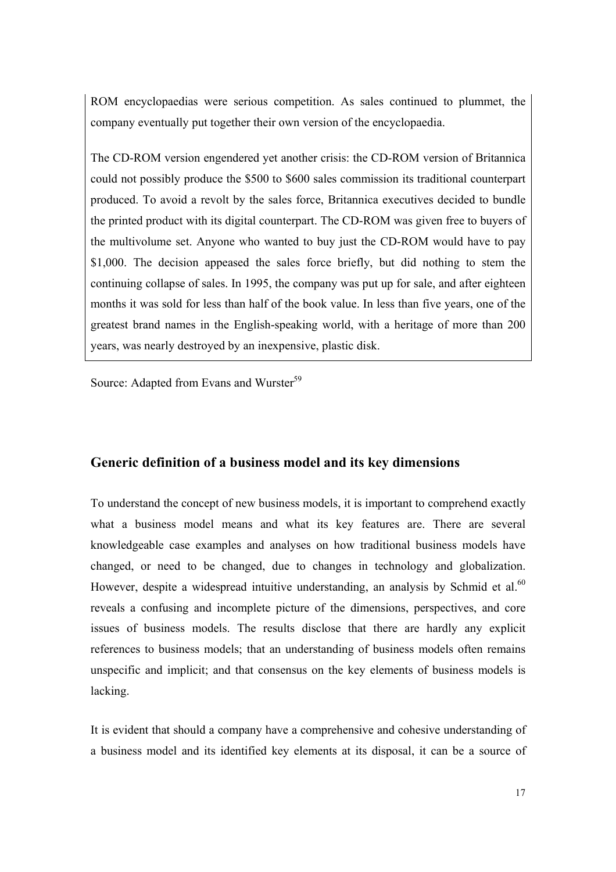ROM encyclopaedias were serious competition. As sales continued to plummet, the company eventually put together their own version of the encyclopaedia.

The CD-ROM version engendered yet another crisis: the CD-ROM version of Britannica could not possibly produce the \$500 to \$600 sales commission its traditional counterpart produced. To avoid a revolt by the sales force, Britannica executives decided to bundle the printed product with its digital counterpart. The CD-ROM was given free to buyers of the multivolume set. Anyone who wanted to buy just the CD-ROM would have to pay \$1,000. The decision appeased the sales force briefly, but did nothing to stem the continuing collapse of sales. In 1995, the company was put up for sale, and after eighteen months it was sold for less than half of the book value. In less than five years, one of the greatest brand names in the English-speaking world, with a heritage of more than 200 years, was nearly destroyed by an inexpensive, plastic disk.

Source: Adapted from Evans and Wurster<sup>59</sup>

## **Generic definition of a business model and its key dimensions**

To understand the concept of new business models, it is important to comprehend exactly what a business model means and what its key features are. There are several knowledgeable case examples and analyses on how traditional business models have changed, or need to be changed, due to changes in technology and globalization. However, despite a widespread intuitive understanding, an analysis by Schmid et al.<sup>60</sup> reveals a confusing and incomplete picture of the dimensions, perspectives, and core issues of business models. The results disclose that there are hardly any explicit references to business models; that an understanding of business models often remains unspecific and implicit; and that consensus on the key elements of business models is lacking.

It is evident that should a company have a comprehensive and cohesive understanding of a business model and its identified key elements at its disposal, it can be a source of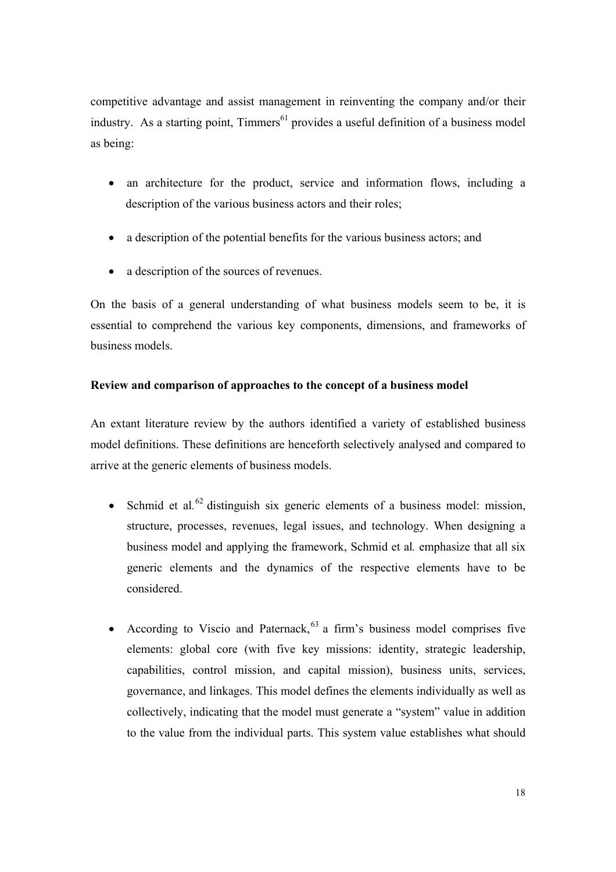competitive advantage and assist management in reinventing the company and/or their industry. As a starting point, Timmers<sup>61</sup> provides a useful definition of a business model as being:

- an architecture for the product, service and information flows, including a description of the various business actors and their roles;
- a description of the potential benefits for the various business actors; and
- a description of the sources of revenues.

On the basis of a general understanding of what business models seem to be, it is essential to comprehend the various key components, dimensions, and frameworks of business models.

## **Review and comparison of approaches to the concept of a business model**

An extant literature review by the authors identified a variety of established business model definitions. These definitions are henceforth selectively analysed and compared to arrive at the generic elements of business models.

- Schmid et al.<sup>62</sup> distinguish six generic elements of a business model: mission, structure, processes, revenues, legal issues, and technology. When designing a business model and applying the framework, Schmid et al*.* emphasize that all six generic elements and the dynamics of the respective elements have to be considered.
- According to Viscio and Paternack,  $63$  a firm's business model comprises five elements: global core (with five key missions: identity, strategic leadership, capabilities, control mission, and capital mission), business units, services, governance, and linkages. This model defines the elements individually as well as collectively, indicating that the model must generate a "system" value in addition to the value from the individual parts. This system value establishes what should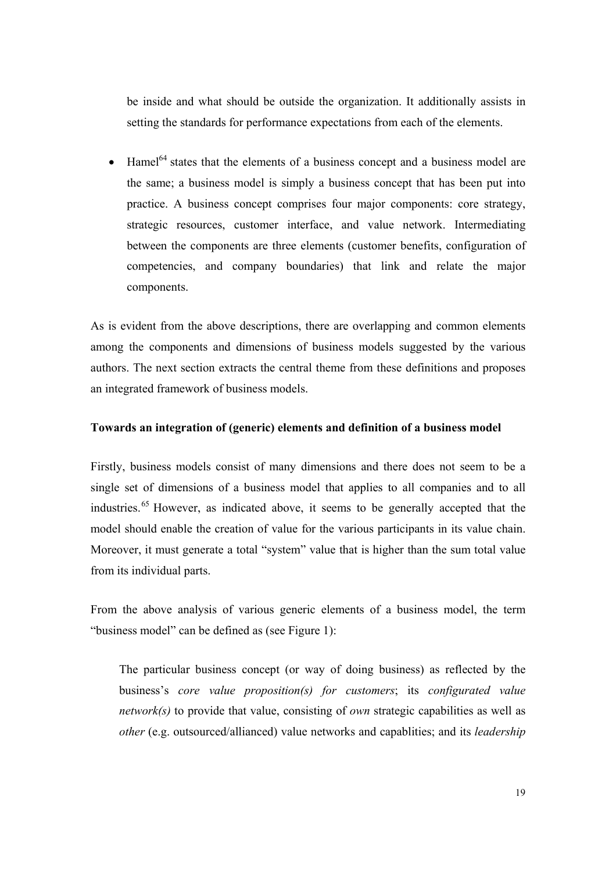be inside and what should be outside the organization. It additionally assists in setting the standards for performance expectations from each of the elements.

• Hamel<sup>64</sup> states that the elements of a business concept and a business model are the same; a business model is simply a business concept that has been put into practice. A business concept comprises four major components: core strategy, strategic resources, customer interface, and value network. Intermediating between the components are three elements (customer benefits, configuration of competencies, and company boundaries) that link and relate the major components.

As is evident from the above descriptions, there are overlapping and common elements among the components and dimensions of business models suggested by the various authors. The next section extracts the central theme from these definitions and proposes an integrated framework of business models.

#### **Towards an integration of (generic) elements and definition of a business model**

Firstly, business models consist of many dimensions and there does not seem to be a single set of dimensions of a business model that applies to all companies and to all industries.65 However, as indicated above, it seems to be generally accepted that the model should enable the creation of value for the various participants in its value chain. Moreover, it must generate a total "system" value that is higher than the sum total value from its individual parts.

From the above analysis of various generic elements of a business model, the term "business model" can be defined as (see Figure 1):

The particular business concept (or way of doing business) as reflected by the business's *core value proposition(s) for customers*; its *configurated value network(s)* to provide that value, consisting of *own* strategic capabilities as well as *other* (e.g. outsourced/allianced) value networks and capablities; and its *leadership*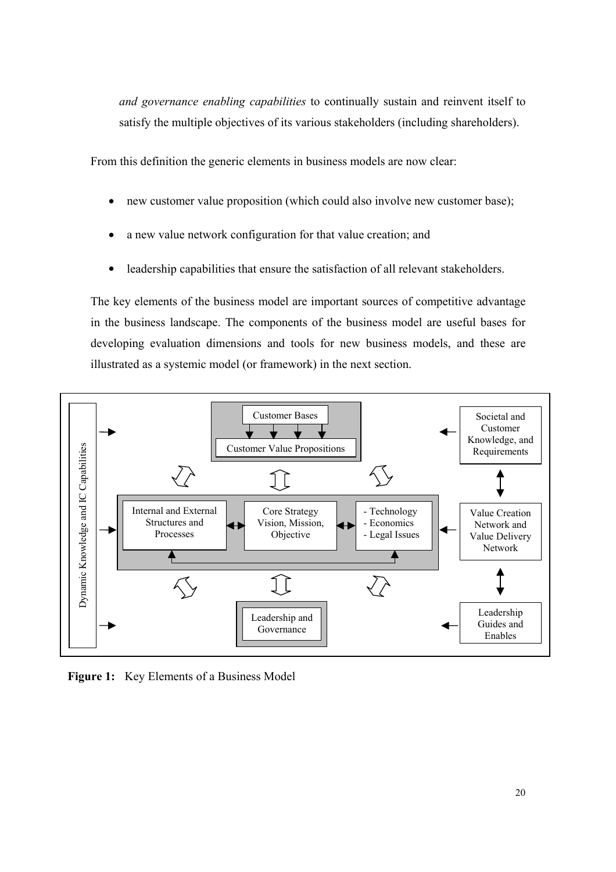*and governance enabling capabilities* to continually sustain and reinvent itself to satisfy the multiple objectives of its various stakeholders (including shareholders).

From this definition the generic elements in business models are now clear:

- new customer value proposition (which could also involve new customer base);
- a new value network configuration for that value creation; and
- leadership capabilities that ensure the satisfaction of all relevant stakeholders.

The key elements of the business model are important sources of competitive advantage in the business landscape. The components of the business model are useful bases for developing evaluation dimensions and tools for new business models, and these are illustrated as a systemic model (or framework) in the next section.



**Figure 1:** Key Elements of a Business Model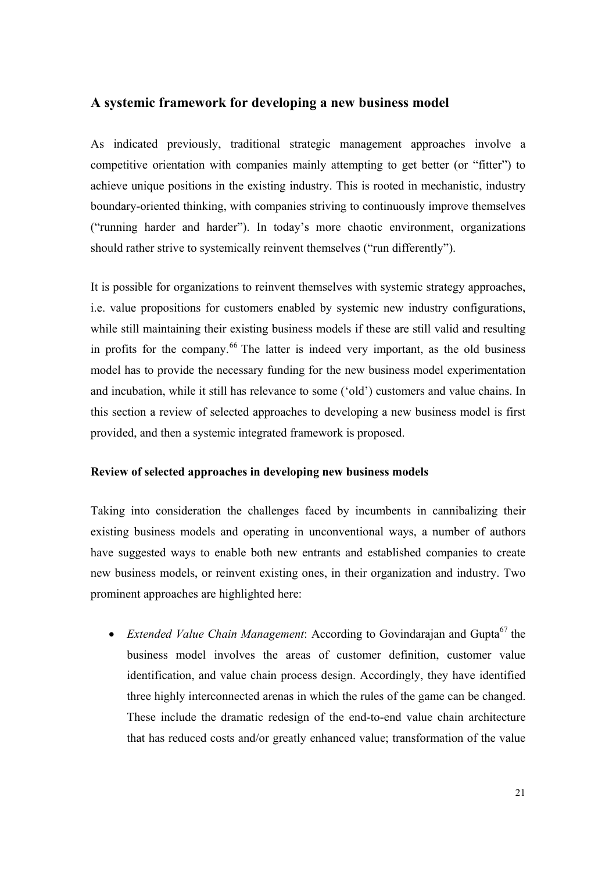## **A systemic framework for developing a new business model**

As indicated previously, traditional strategic management approaches involve a competitive orientation with companies mainly attempting to get better (or "fitter") to achieve unique positions in the existing industry. This is rooted in mechanistic, industry boundary-oriented thinking, with companies striving to continuously improve themselves ("running harder and harder"). In today's more chaotic environment, organizations should rather strive to systemically reinvent themselves ("run differently").

It is possible for organizations to reinvent themselves with systemic strategy approaches, i.e. value propositions for customers enabled by systemic new industry configurations, while still maintaining their existing business models if these are still valid and resulting in profits for the company.66 The latter is indeed very important, as the old business model has to provide the necessary funding for the new business model experimentation and incubation, while it still has relevance to some ('old') customers and value chains. In this section a review of selected approaches to developing a new business model is first provided, and then a systemic integrated framework is proposed.

#### **Review of selected approaches in developing new business models**

Taking into consideration the challenges faced by incumbents in cannibalizing their existing business models and operating in unconventional ways, a number of authors have suggested ways to enable both new entrants and established companies to create new business models, or reinvent existing ones, in their organization and industry. Two prominent approaches are highlighted here:

• *Extended Value Chain Management*: According to Govindarajan and Gupta<sup>67</sup> the business model involves the areas of customer definition, customer value identification, and value chain process design. Accordingly, they have identified three highly interconnected arenas in which the rules of the game can be changed. These include the dramatic redesign of the end-to-end value chain architecture that has reduced costs and/or greatly enhanced value; transformation of the value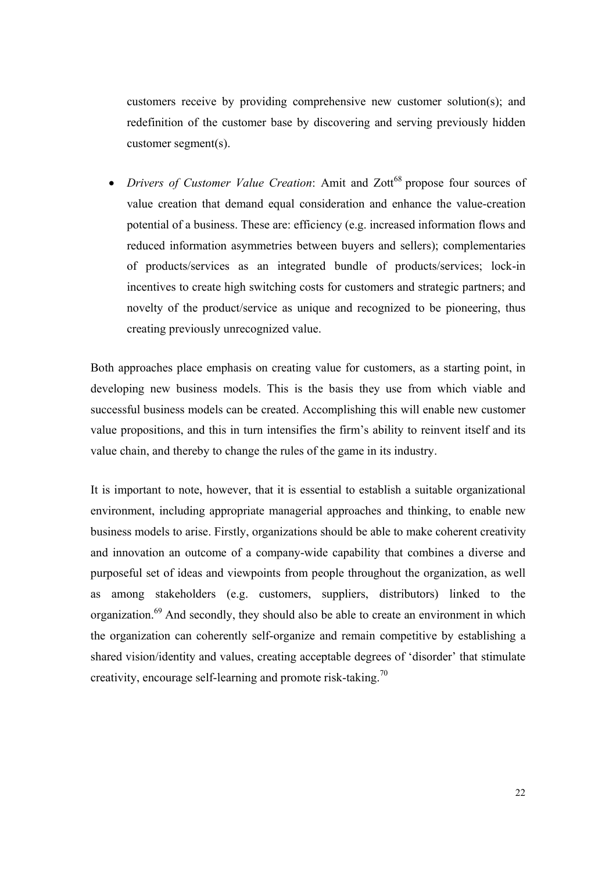customers receive by providing comprehensive new customer solution(s); and redefinition of the customer base by discovering and serving previously hidden customer segment(s).

• *Drivers of Customer Value Creation*: Amit and Zott<sup>68</sup> propose four sources of value creation that demand equal consideration and enhance the value-creation potential of a business. These are: efficiency (e.g. increased information flows and reduced information asymmetries between buyers and sellers); complementaries of products/services as an integrated bundle of products/services; lock-in incentives to create high switching costs for customers and strategic partners; and novelty of the product/service as unique and recognized to be pioneering, thus creating previously unrecognized value.

Both approaches place emphasis on creating value for customers, as a starting point, in developing new business models. This is the basis they use from which viable and successful business models can be created. Accomplishing this will enable new customer value propositions, and this in turn intensifies the firm's ability to reinvent itself and its value chain, and thereby to change the rules of the game in its industry.

It is important to note, however, that it is essential to establish a suitable organizational environment, including appropriate managerial approaches and thinking, to enable new business models to arise. Firstly, organizations should be able to make coherent creativity and innovation an outcome of a company-wide capability that combines a diverse and purposeful set of ideas and viewpoints from people throughout the organization, as well as among stakeholders (e.g. customers, suppliers, distributors) linked to the organization.<sup>69</sup> And secondly, they should also be able to create an environment in which the organization can coherently self-organize and remain competitive by establishing a shared vision/identity and values, creating acceptable degrees of 'disorder' that stimulate creativity, encourage self-learning and promote risk-taking.<sup>70</sup>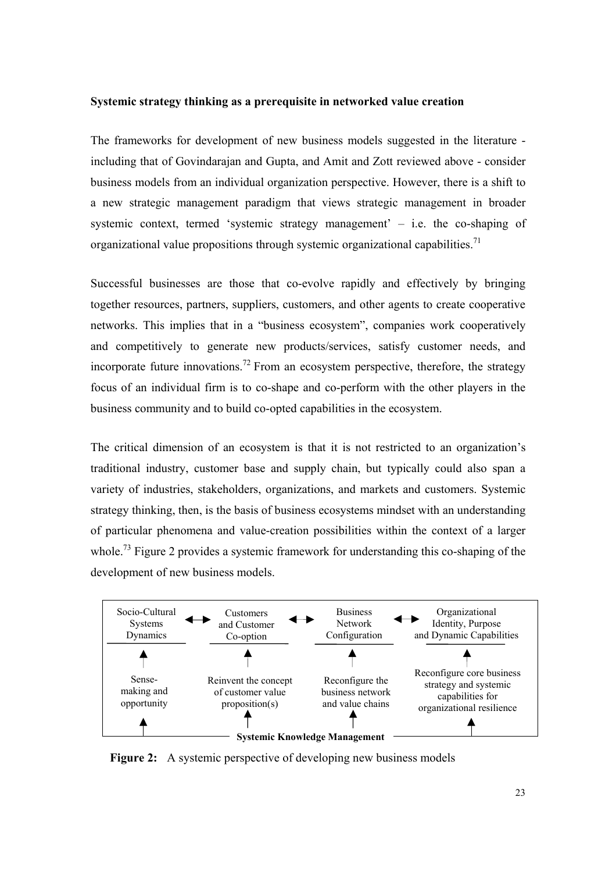#### **Systemic strategy thinking as a prerequisite in networked value creation**

The frameworks for development of new business models suggested in the literature including that of Govindarajan and Gupta, and Amit and Zott reviewed above - consider business models from an individual organization perspective. However, there is a shift to a new strategic management paradigm that views strategic management in broader systemic context, termed 'systemic strategy management' – i.e. the co-shaping of organizational value propositions through systemic organizational capabilities.<sup>71</sup>

Successful businesses are those that co-evolve rapidly and effectively by bringing together resources, partners, suppliers, customers, and other agents to create cooperative networks. This implies that in a "business ecosystem", companies work cooperatively and competitively to generate new products/services, satisfy customer needs, and incorporate future innovations.<sup>72</sup> From an ecosystem perspective, therefore, the strategy focus of an individual firm is to co-shape and co-perform with the other players in the business community and to build co-opted capabilities in the ecosystem.

The critical dimension of an ecosystem is that it is not restricted to an organization's traditional industry, customer base and supply chain, but typically could also span a variety of industries, stakeholders, organizations, and markets and customers. Systemic strategy thinking, then, is the basis of business ecosystems mindset with an understanding of particular phenomena and value-creation possibilities within the context of a larger whole.<sup>73</sup> Figure 2 provides a systemic framework for understanding this co-shaping of the development of new business models.



Figure 2: A systemic perspective of developing new business models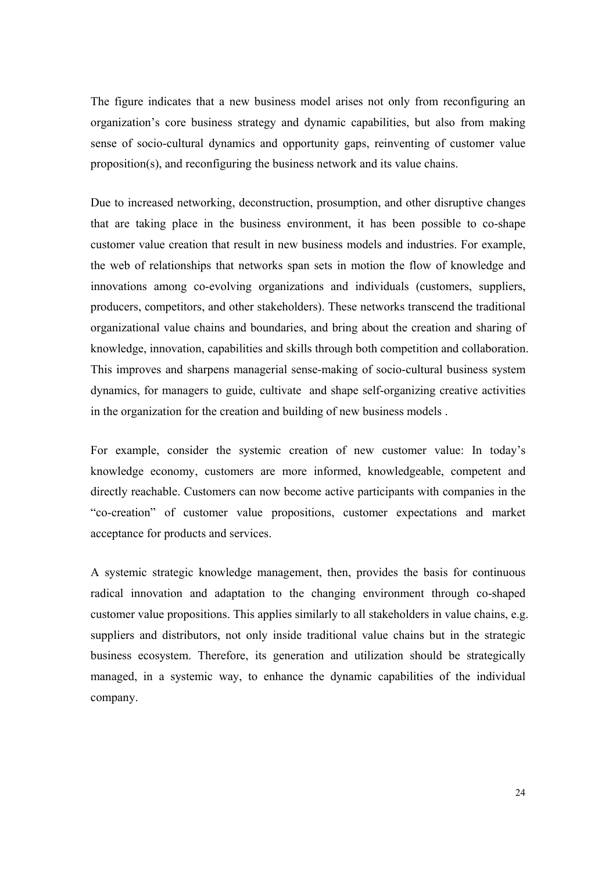The figure indicates that a new business model arises not only from reconfiguring an organization's core business strategy and dynamic capabilities, but also from making sense of socio-cultural dynamics and opportunity gaps, reinventing of customer value proposition(s), and reconfiguring the business network and its value chains.

Due to increased networking, deconstruction, prosumption, and other disruptive changes that are taking place in the business environment, it has been possible to co-shape customer value creation that result in new business models and industries. For example, the web of relationships that networks span sets in motion the flow of knowledge and innovations among co-evolving organizations and individuals (customers, suppliers, producers, competitors, and other stakeholders). These networks transcend the traditional organizational value chains and boundaries, and bring about the creation and sharing of knowledge, innovation, capabilities and skills through both competition and collaboration. This improves and sharpens managerial sense-making of socio-cultural business system dynamics, for managers to guide, cultivate and shape self-organizing creative activities in the organization for the creation and building of new business models .

For example, consider the systemic creation of new customer value: In today's knowledge economy, customers are more informed, knowledgeable, competent and directly reachable. Customers can now become active participants with companies in the "co-creation" of customer value propositions, customer expectations and market acceptance for products and services.

A systemic strategic knowledge management, then, provides the basis for continuous radical innovation and adaptation to the changing environment through co-shaped customer value propositions. This applies similarly to all stakeholders in value chains, e.g. suppliers and distributors, not only inside traditional value chains but in the strategic business ecosystem. Therefore, its generation and utilization should be strategically managed, in a systemic way, to enhance the dynamic capabilities of the individual company.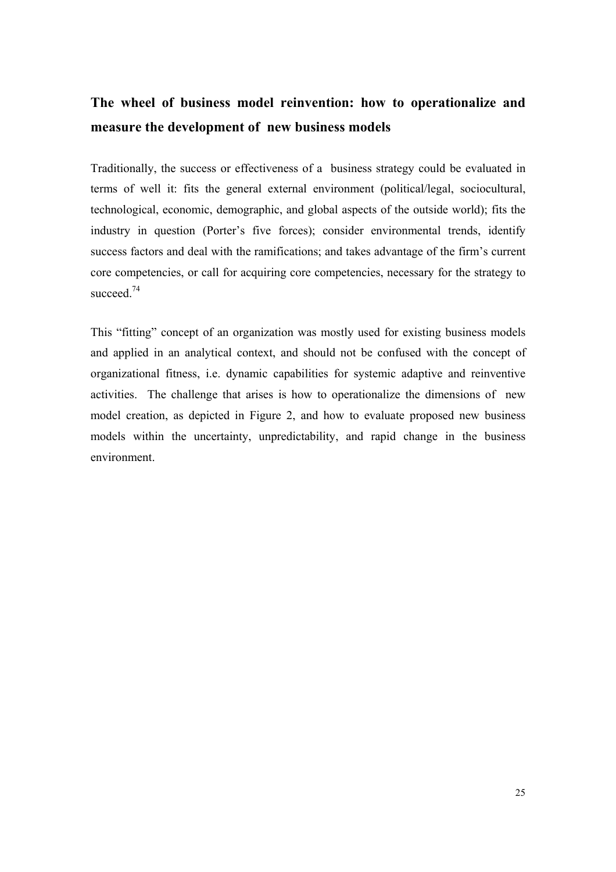# **The wheel of business model reinvention: how to operationalize and measure the development of new business models**

Traditionally, the success or effectiveness of a business strategy could be evaluated in terms of well it: fits the general external environment (political/legal, sociocultural, technological, economic, demographic, and global aspects of the outside world); fits the industry in question (Porter's five forces); consider environmental trends, identify success factors and deal with the ramifications; and takes advantage of the firm's current core competencies, or call for acquiring core competencies, necessary for the strategy to succeed.<sup>74</sup>

This "fitting" concept of an organization was mostly used for existing business models and applied in an analytical context, and should not be confused with the concept of organizational fitness, i.e. dynamic capabilities for systemic adaptive and reinventive activities. The challenge that arises is how to operationalize the dimensions of new model creation, as depicted in Figure 2, and how to evaluate proposed new business models within the uncertainty, unpredictability, and rapid change in the business environment.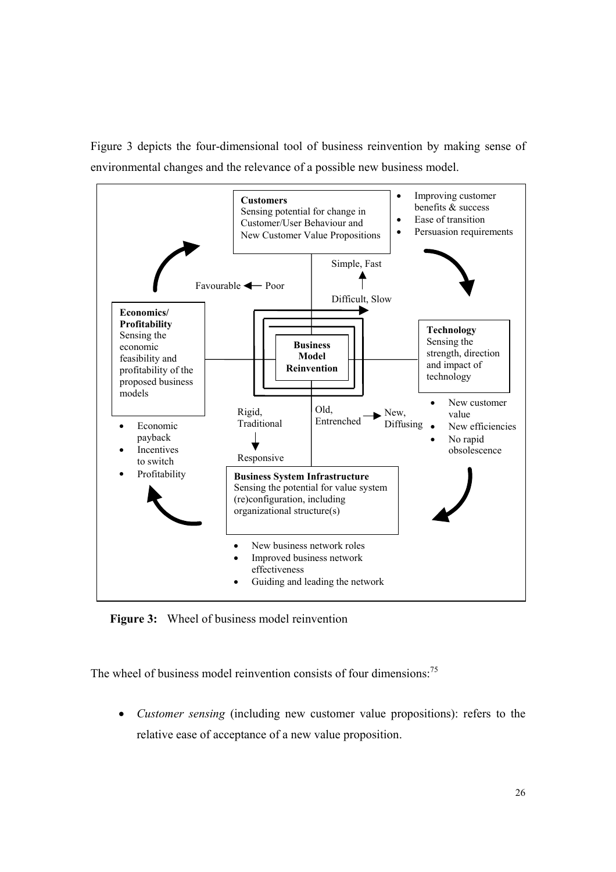Figure 3 depicts the four-dimensional tool of business reinvention by making sense of environmental changes and the relevance of a possible new business model.



**Figure 3:** Wheel of business model reinvention

The wheel of business model reinvention consists of four dimensions:<sup>75</sup>

• *Customer sensing* (including new customer value propositions): refers to the relative ease of acceptance of a new value proposition.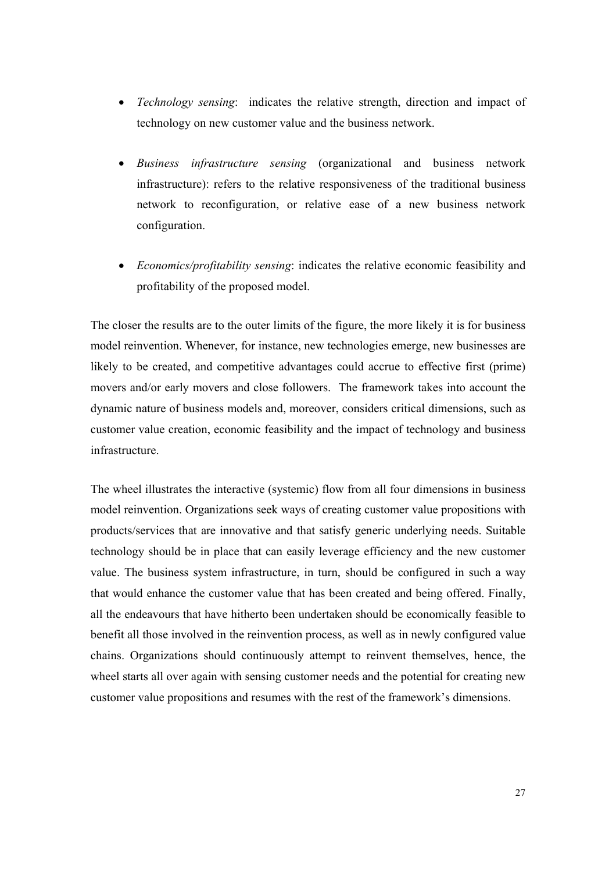- *Technology sensing*: indicates the relative strength, direction and impact of technology on new customer value and the business network.
- *Business infrastructure sensing* (organizational and business network infrastructure): refers to the relative responsiveness of the traditional business network to reconfiguration, or relative ease of a new business network configuration.
- *Economics/profitability sensing*: indicates the relative economic feasibility and profitability of the proposed model.

The closer the results are to the outer limits of the figure, the more likely it is for business model reinvention. Whenever, for instance, new technologies emerge, new businesses are likely to be created, and competitive advantages could accrue to effective first (prime) movers and/or early movers and close followers. The framework takes into account the dynamic nature of business models and, moreover, considers critical dimensions, such as customer value creation, economic feasibility and the impact of technology and business infrastructure.

The wheel illustrates the interactive (systemic) flow from all four dimensions in business model reinvention. Organizations seek ways of creating customer value propositions with products/services that are innovative and that satisfy generic underlying needs. Suitable technology should be in place that can easily leverage efficiency and the new customer value. The business system infrastructure, in turn, should be configured in such a way that would enhance the customer value that has been created and being offered. Finally, all the endeavours that have hitherto been undertaken should be economically feasible to benefit all those involved in the reinvention process, as well as in newly configured value chains. Organizations should continuously attempt to reinvent themselves, hence, the wheel starts all over again with sensing customer needs and the potential for creating new customer value propositions and resumes with the rest of the framework's dimensions.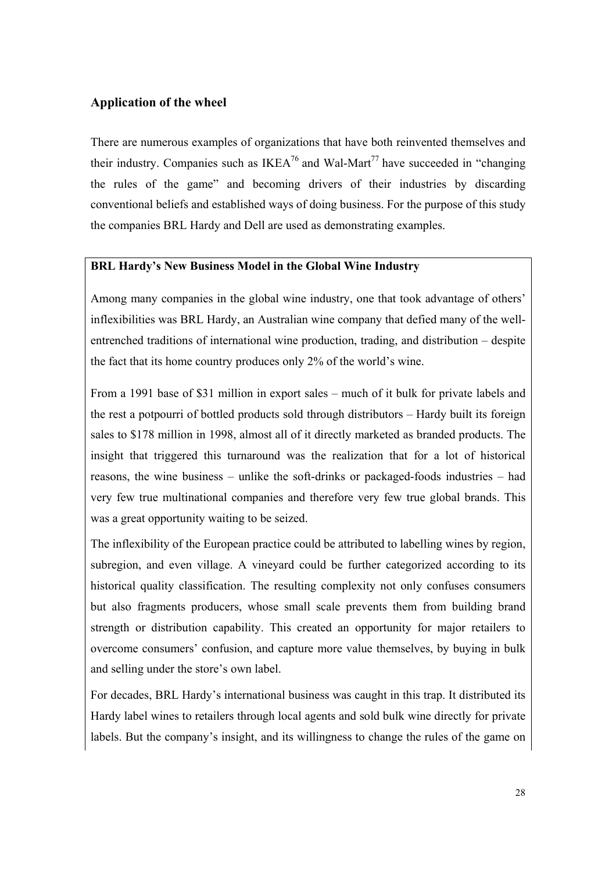## **Application of the wheel**

There are numerous examples of organizations that have both reinvented themselves and their industry. Companies such as  $IKEA^{76}$  and Wal-Mart<sup>77</sup> have succeeded in "changing" the rules of the game" and becoming drivers of their industries by discarding conventional beliefs and established ways of doing business. For the purpose of this study the companies BRL Hardy and Dell are used as demonstrating examples.

## **BRL Hardy's New Business Model in the Global Wine Industry**

Among many companies in the global wine industry, one that took advantage of others' inflexibilities was BRL Hardy, an Australian wine company that defied many of the wellentrenched traditions of international wine production, trading, and distribution – despite the fact that its home country produces only 2% of the world's wine.

From a 1991 base of \$31 million in export sales – much of it bulk for private labels and the rest a potpourri of bottled products sold through distributors – Hardy built its foreign sales to \$178 million in 1998, almost all of it directly marketed as branded products. The insight that triggered this turnaround was the realization that for a lot of historical reasons, the wine business – unlike the soft-drinks or packaged-foods industries – had very few true multinational companies and therefore very few true global brands. This was a great opportunity waiting to be seized.

The inflexibility of the European practice could be attributed to labelling wines by region, subregion, and even village. A vineyard could be further categorized according to its historical quality classification. The resulting complexity not only confuses consumers but also fragments producers, whose small scale prevents them from building brand strength or distribution capability. This created an opportunity for major retailers to overcome consumers' confusion, and capture more value themselves, by buying in bulk and selling under the store's own label.

For decades, BRL Hardy's international business was caught in this trap. It distributed its Hardy label wines to retailers through local agents and sold bulk wine directly for private labels. But the company's insight, and its willingness to change the rules of the game on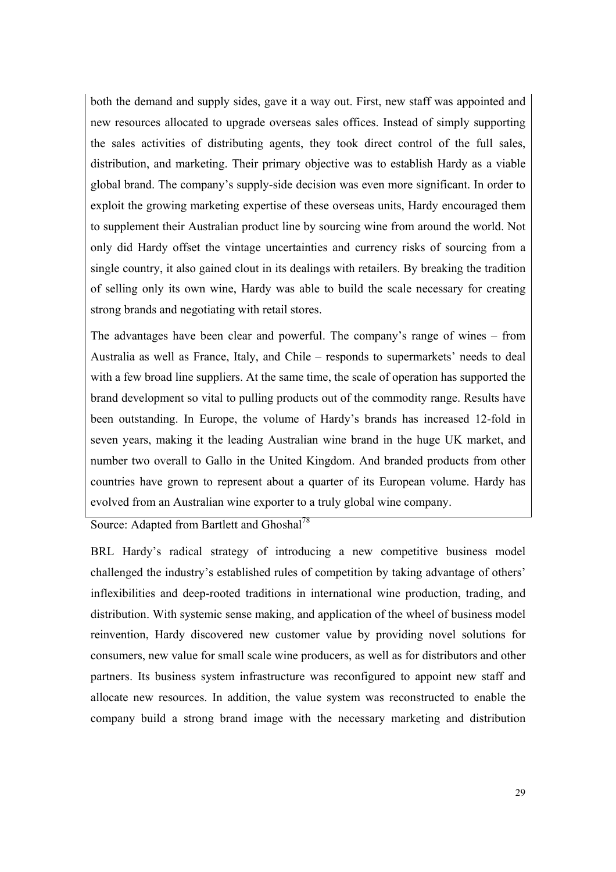both the demand and supply sides, gave it a way out. First, new staff was appointed and new resources allocated to upgrade overseas sales offices. Instead of simply supporting the sales activities of distributing agents, they took direct control of the full sales, distribution, and marketing. Their primary objective was to establish Hardy as a viable global brand. The company's supply-side decision was even more significant. In order to exploit the growing marketing expertise of these overseas units, Hardy encouraged them to supplement their Australian product line by sourcing wine from around the world. Not only did Hardy offset the vintage uncertainties and currency risks of sourcing from a single country, it also gained clout in its dealings with retailers. By breaking the tradition of selling only its own wine, Hardy was able to build the scale necessary for creating strong brands and negotiating with retail stores.

The advantages have been clear and powerful. The company's range of wines – from Australia as well as France, Italy, and Chile – responds to supermarkets' needs to deal with a few broad line suppliers. At the same time, the scale of operation has supported the brand development so vital to pulling products out of the commodity range. Results have been outstanding. In Europe, the volume of Hardy's brands has increased 12-fold in seven years, making it the leading Australian wine brand in the huge UK market, and number two overall to Gallo in the United Kingdom. And branded products from other countries have grown to represent about a quarter of its European volume. Hardy has evolved from an Australian wine exporter to a truly global wine company.

Source: Adapted from Bartlett and Ghoshal<sup>78</sup>

BRL Hardy's radical strategy of introducing a new competitive business model challenged the industry's established rules of competition by taking advantage of others' inflexibilities and deep-rooted traditions in international wine production, trading, and distribution. With systemic sense making, and application of the wheel of business model reinvention, Hardy discovered new customer value by providing novel solutions for consumers, new value for small scale wine producers, as well as for distributors and other partners. Its business system infrastructure was reconfigured to appoint new staff and allocate new resources. In addition, the value system was reconstructed to enable the company build a strong brand image with the necessary marketing and distribution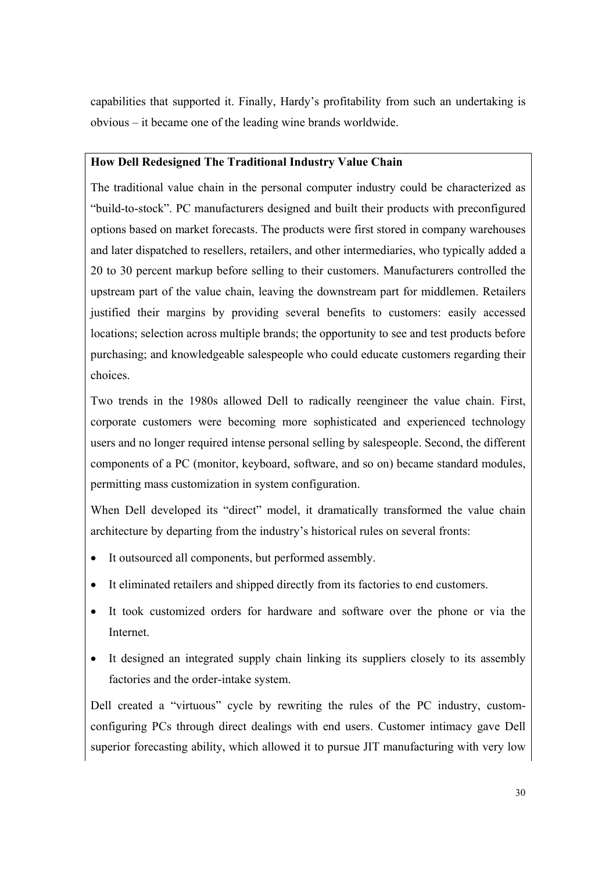capabilities that supported it. Finally, Hardy's profitability from such an undertaking is obvious – it became one of the leading wine brands worldwide.

## **How Dell Redesigned The Traditional Industry Value Chain**

The traditional value chain in the personal computer industry could be characterized as "build-to-stock". PC manufacturers designed and built their products with preconfigured options based on market forecasts. The products were first stored in company warehouses and later dispatched to resellers, retailers, and other intermediaries, who typically added a 20 to 30 percent markup before selling to their customers. Manufacturers controlled the upstream part of the value chain, leaving the downstream part for middlemen. Retailers justified their margins by providing several benefits to customers: easily accessed locations; selection across multiple brands; the opportunity to see and test products before purchasing; and knowledgeable salespeople who could educate customers regarding their choices.

Two trends in the 1980s allowed Dell to radically reengineer the value chain. First, corporate customers were becoming more sophisticated and experienced technology users and no longer required intense personal selling by salespeople. Second, the different components of a PC (monitor, keyboard, software, and so on) became standard modules, permitting mass customization in system configuration.

When Dell developed its "direct" model, it dramatically transformed the value chain architecture by departing from the industry's historical rules on several fronts:

- It outsourced all components, but performed assembly.
- It eliminated retailers and shipped directly from its factories to end customers.
- It took customized orders for hardware and software over the phone or via the Internet.
- It designed an integrated supply chain linking its suppliers closely to its assembly factories and the order-intake system.

Dell created a "virtuous" cycle by rewriting the rules of the PC industry, customconfiguring PCs through direct dealings with end users. Customer intimacy gave Dell superior forecasting ability, which allowed it to pursue JIT manufacturing with very low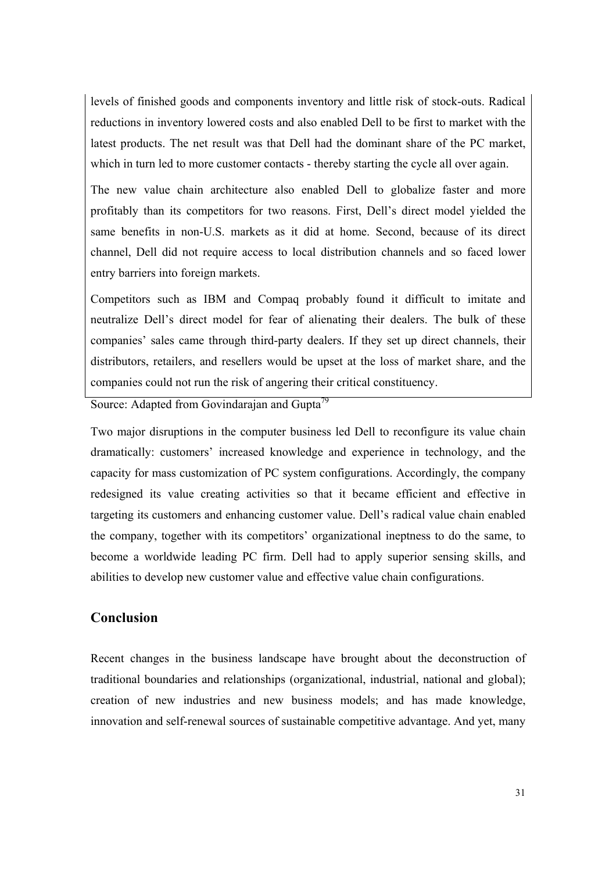levels of finished goods and components inventory and little risk of stock-outs. Radical reductions in inventory lowered costs and also enabled Dell to be first to market with the latest products. The net result was that Dell had the dominant share of the PC market, which in turn led to more customer contacts - thereby starting the cycle all over again.

The new value chain architecture also enabled Dell to globalize faster and more profitably than its competitors for two reasons. First, Dell's direct model yielded the same benefits in non-U.S. markets as it did at home. Second, because of its direct channel, Dell did not require access to local distribution channels and so faced lower entry barriers into foreign markets.

Competitors such as IBM and Compaq probably found it difficult to imitate and neutralize Dell's direct model for fear of alienating their dealers. The bulk of these companies' sales came through third-party dealers. If they set up direct channels, their distributors, retailers, and resellers would be upset at the loss of market share, and the companies could not run the risk of angering their critical constituency.

Source: Adapted from Govindarajan and Gupta<sup>79</sup>

Two major disruptions in the computer business led Dell to reconfigure its value chain dramatically: customers' increased knowledge and experience in technology, and the capacity for mass customization of PC system configurations. Accordingly, the company redesigned its value creating activities so that it became efficient and effective in targeting its customers and enhancing customer value. Dell's radical value chain enabled the company, together with its competitors' organizational ineptness to do the same, to become a worldwide leading PC firm. Dell had to apply superior sensing skills, and abilities to develop new customer value and effective value chain configurations.

## **Conclusion**

Recent changes in the business landscape have brought about the deconstruction of traditional boundaries and relationships (organizational, industrial, national and global); creation of new industries and new business models; and has made knowledge, innovation and self-renewal sources of sustainable competitive advantage. And yet, many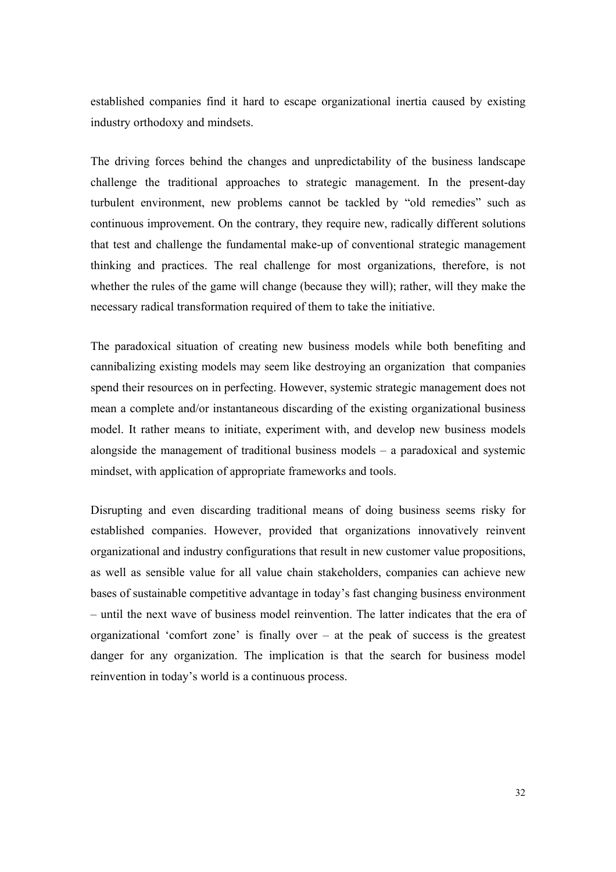established companies find it hard to escape organizational inertia caused by existing industry orthodoxy and mindsets.

The driving forces behind the changes and unpredictability of the business landscape challenge the traditional approaches to strategic management. In the present-day turbulent environment, new problems cannot be tackled by "old remedies" such as continuous improvement. On the contrary, they require new, radically different solutions that test and challenge the fundamental make-up of conventional strategic management thinking and practices. The real challenge for most organizations, therefore, is not whether the rules of the game will change (because they will); rather, will they make the necessary radical transformation required of them to take the initiative.

The paradoxical situation of creating new business models while both benefiting and cannibalizing existing models may seem like destroying an organization that companies spend their resources on in perfecting. However, systemic strategic management does not mean a complete and/or instantaneous discarding of the existing organizational business model. It rather means to initiate, experiment with, and develop new business models alongside the management of traditional business models – a paradoxical and systemic mindset, with application of appropriate frameworks and tools.

Disrupting and even discarding traditional means of doing business seems risky for established companies. However, provided that organizations innovatively reinvent organizational and industry configurations that result in new customer value propositions, as well as sensible value for all value chain stakeholders, companies can achieve new bases of sustainable competitive advantage in today's fast changing business environment – until the next wave of business model reinvention. The latter indicates that the era of organizational 'comfort zone' is finally over – at the peak of success is the greatest danger for any organization. The implication is that the search for business model reinvention in today's world is a continuous process.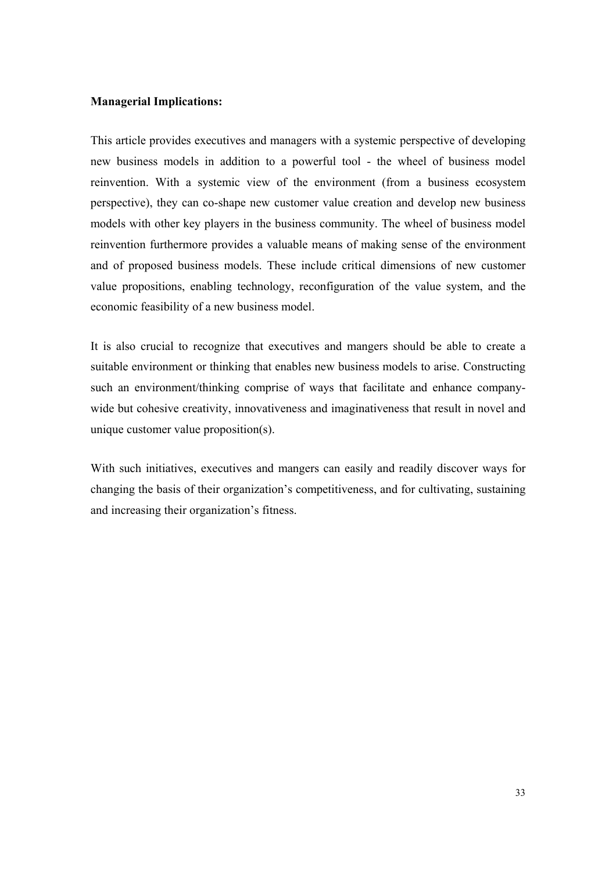## **Managerial Implications:**

This article provides executives and managers with a systemic perspective of developing new business models in addition to a powerful tool - the wheel of business model reinvention. With a systemic view of the environment (from a business ecosystem perspective), they can co-shape new customer value creation and develop new business models with other key players in the business community. The wheel of business model reinvention furthermore provides a valuable means of making sense of the environment and of proposed business models. These include critical dimensions of new customer value propositions, enabling technology, reconfiguration of the value system, and the economic feasibility of a new business model.

It is also crucial to recognize that executives and mangers should be able to create a suitable environment or thinking that enables new business models to arise. Constructing such an environment/thinking comprise of ways that facilitate and enhance companywide but cohesive creativity, innovativeness and imaginativeness that result in novel and unique customer value proposition(s).

With such initiatives, executives and mangers can easily and readily discover ways for changing the basis of their organization's competitiveness, and for cultivating, sustaining and increasing their organization's fitness.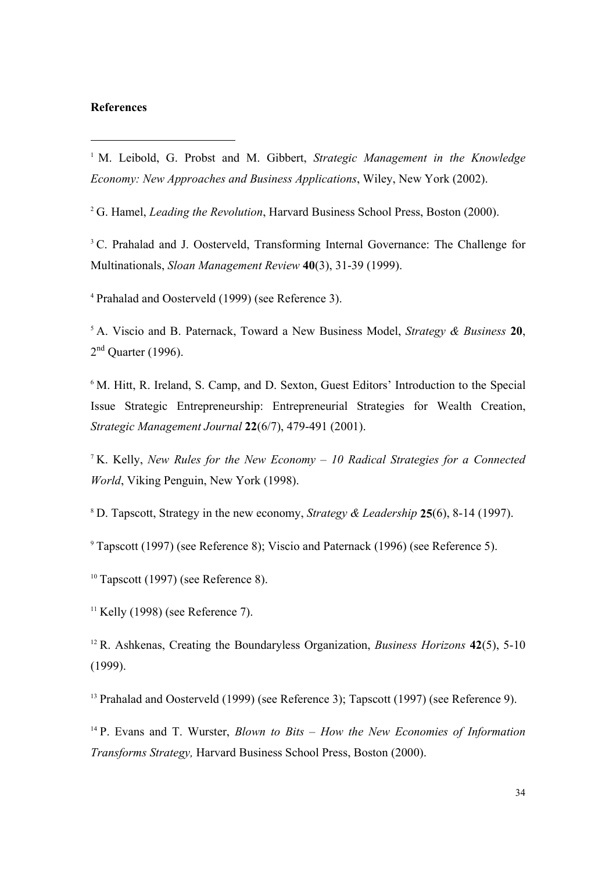## **References**

 $\overline{a}$ 

<sup>1</sup> M. Leibold, G. Probst and M. Gibbert, *Strategic Management in the Knowledge Economy: New Approaches and Business Applications*, Wiley, New York (2002).

<sup>2</sup> G. Hamel, *Leading the Revolution*, Harvard Business School Press, Boston (2000).

<sup>3</sup> C. Prahalad and J. Oosterveld, Transforming Internal Governance: The Challenge for Multinationals, *Sloan Management Review* **40**(3), 31-39 (1999).

<sup>4</sup> Prahalad and Oosterveld (1999) (see Reference 3).

<sup>5</sup> A. Viscio and B. Paternack, Toward a New Business Model, *Strategy & Business* **20**,  $2<sup>nd</sup>$  Ouarter (1996).

<sup>6</sup> M. Hitt, R. Ireland, S. Camp, and D. Sexton, Guest Editors' Introduction to the Special Issue Strategic Entrepreneurship: Entrepreneurial Strategies for Wealth Creation, *Strategic Management Journal* **22**(6/7), 479-491 (2001).

<sup>7</sup> K. Kelly, *New Rules for the New Economy – 10 Radical Strategies for a Connected World*, Viking Penguin, New York (1998).

<sup>8</sup> D. Tapscott, Strategy in the new economy, *Strategy & Leadership* **25**(6), 8-14 (1997).

<sup>9</sup> Tapscott (1997) (see Reference 8); Viscio and Paternack (1996) (see Reference 5).

 $10$  Tapscott (1997) (see Reference 8).

 $11$  Kelly (1998) (see Reference 7).

<sup>12</sup> R. Ashkenas, Creating the Boundaryless Organization, *Business Horizons* **42**(5), 5-10 (1999).

<sup>13</sup> Prahalad and Oosterveld (1999) (see Reference 3); Tapscott (1997) (see Reference 9).

<sup>14</sup> P. Evans and T. Wurster, *Blown to Bits – How the New Economies of Information Transforms Strategy,* Harvard Business School Press, Boston (2000).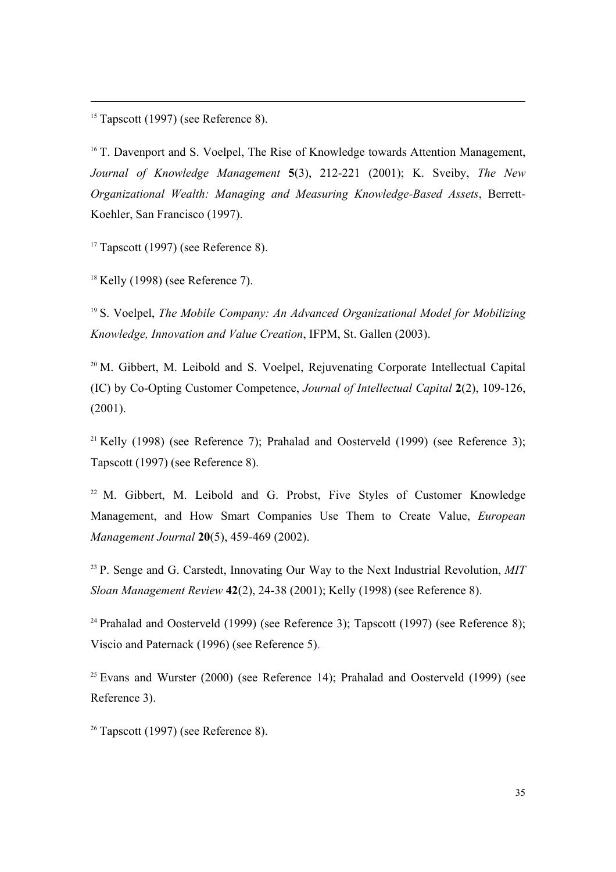$15$  Tapscott (1997) (see Reference 8).

l

<sup>16</sup> T. Davenport and S. Voelpel, The Rise of Knowledge towards Attention Management, *Journal of Knowledge Management* **5**(3), 212-221 (2001); K. Sveiby, *The New Organizational Wealth: Managing and Measuring Knowledge-Based Assets*, Berrett-Koehler, San Francisco (1997).

 $17$  Tapscott (1997) (see Reference 8).

 $18$  Kelly (1998) (see Reference 7).

<sup>19</sup> S. Voelpel, *The Mobile Company: An Advanced Organizational Model for Mobilizing Knowledge, Innovation and Value Creation*, IFPM, St. Gallen (2003).

<sup>20</sup> M. Gibbert, M. Leibold and S. Voelpel, Rejuvenating Corporate Intellectual Capital (IC) by Co-Opting Customer Competence, *Journal of Intellectual Capital* **2**(2), 109-126, (2001).

<sup>21</sup> Kelly (1998) (see Reference 7); Prahalad and Oosterveld (1999) (see Reference 3); Tapscott (1997) (see Reference 8).

<sup>22</sup> M. Gibbert, M. Leibold and G. Probst, Five Styles of Customer Knowledge Management, and How Smart Companies Use Them to Create Value, *European Management Journal* **20**(5), 459-469 (2002).

<sup>23</sup> P. Senge and G. Carstedt, Innovating Our Way to the Next Industrial Revolution, *MIT Sloan Management Review* **42**(2), 24-38 (2001); Kelly (1998) (see Reference 8).

<sup>24</sup> Prahalad and Oosterveld (1999) (see Reference 3); Tapscott (1997) (see Reference 8); Viscio and Paternack (1996) (see Reference 5).

 $25$  Evans and Wurster (2000) (see Reference 14): Prahalad and Oosterveld (1999) (see Reference 3).

 $26$  Tapscott (1997) (see Reference 8).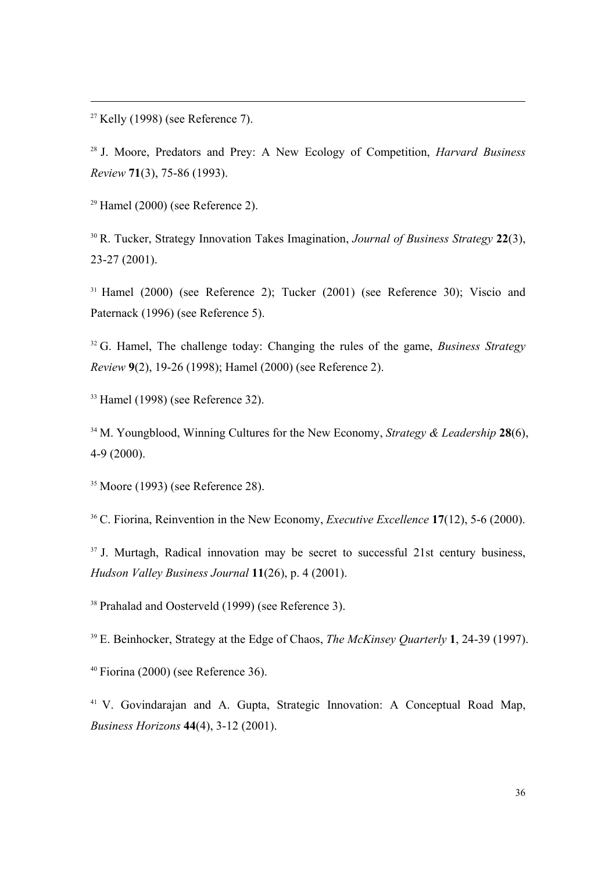Kelly (1998) (see Reference 7).

l

 J. Moore, Predators and Prey: A New Ecology of Competition, *Harvard Business Review* **71**(3), 75-86 (1993).

Hamel (2000) (see Reference 2).

 R. Tucker, Strategy Innovation Takes Imagination, *Journal of Business Strategy* **22**(3), 23-27 (2001).

 Hamel (2000) (see Reference 2); Tucker (2001) (see Reference 30); Viscio and Paternack (1996) (see Reference 5).

 G. Hamel, The challenge today: Changing the rules of the game, *Business Strategy Review* **9**(2), 19-26 (1998); Hamel (2000) (see Reference 2).

Hamel (1998) (see Reference 32).

 M. Youngblood, Winning Cultures for the New Economy, *Strategy & Leadership* **28**(6), 4-9 (2000).

Moore (1993) (see Reference 28).

C. Fiorina, Reinvention in the New Economy, *Executive Excellence* **17**(12), 5-6 (2000).

<sup>37</sup> J. Murtagh, Radical innovation may be secret to successful 21st century business, *Hudson Valley Business Journal* **11**(26), p. 4 (2001).

Prahalad and Oosterveld (1999) (see Reference 3).

E. Beinhocker, Strategy at the Edge of Chaos, *The McKinsey Quarterly* **1**, 24-39 (1997).

Fiorina (2000) (see Reference 36).

 V. Govindarajan and A. Gupta, Strategic Innovation: A Conceptual Road Map, *Business Horizons* **44**(4), 3-12 (2001).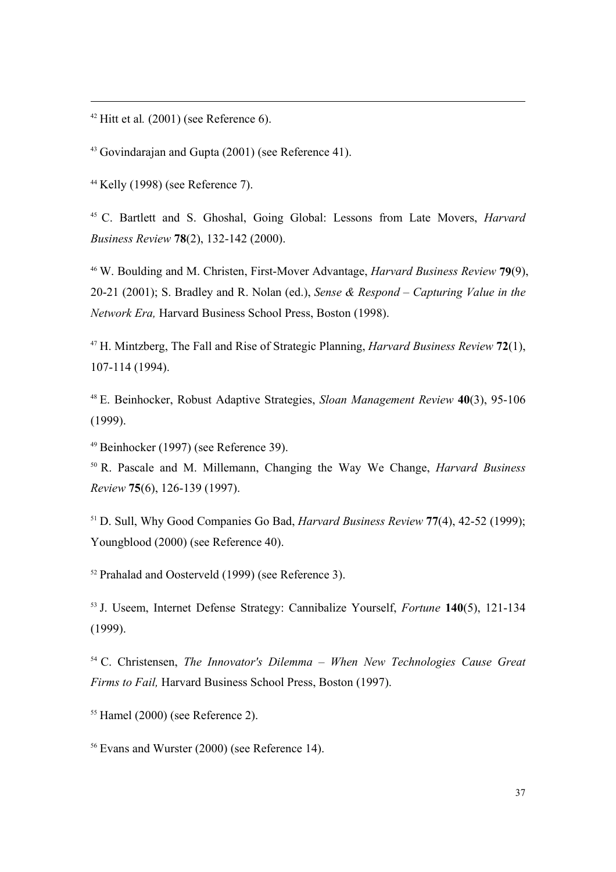$42$  Hitt et al.  $(2001)$  (see Reference 6).

l

<sup>43</sup> Govindarajan and Gupta (2001) (see Reference 41).

 $44$  Kelly (1998) (see Reference 7).

<sup>45</sup> C. Bartlett and S. Ghoshal, Going Global: Lessons from Late Movers, *Harvard Business Review* **78**(2), 132-142 (2000).

<sup>46</sup> W. Boulding and M. Christen, First-Mover Advantage, *Harvard Business Review* **79**(9), 20-21 (2001); S. Bradley and R. Nolan (ed.), *Sense & Respond – Capturing Value in the Network Era,* Harvard Business School Press, Boston (1998).

<sup>47</sup> H. Mintzberg, The Fall and Rise of Strategic Planning, *Harvard Business Review* **72**(1), 107-114 (1994).

<sup>48</sup> E. Beinhocker, Robust Adaptive Strategies, *Sloan Management Review* **40**(3), 95-106 (1999).

<sup>49</sup> Beinhocker (1997) (see Reference 39).

<sup>50</sup> R. Pascale and M. Millemann, Changing the Way We Change, *Harvard Business Review* **75**(6), 126-139 (1997).

<sup>51</sup> D. Sull, Why Good Companies Go Bad, *Harvard Business Review* **77**(4), 42-52 (1999); Youngblood (2000) (see Reference 40).

<sup>52</sup> Prahalad and Oosterveld (1999) (see Reference 3).

<sup>53</sup> J. Useem, Internet Defense Strategy: Cannibalize Yourself, *Fortune* **140**(5), 121-134 (1999).

<sup>54</sup> C. Christensen, *The Innovator's Dilemma – When New Technologies Cause Great Firms to Fail,* Harvard Business School Press, Boston (1997).

 $55$  Hamel (2000) (see Reference 2).

<sup>56</sup> Evans and Wurster (2000) (see Reference 14).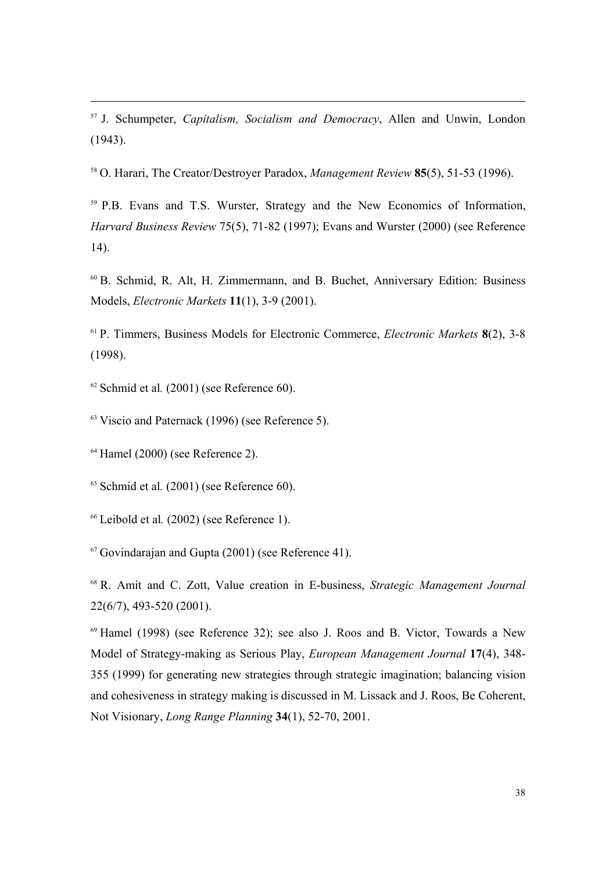<sup>57</sup> J. Schumpeter, *Capitalism, Socialism and Democracy*, Allen and Unwin, London (1943).

<sup>58</sup> O. Harari, The Creator/Destroyer Paradox, *Management Review* **85**(5), 51-53 (1996).

<sup>59</sup> P.B. Evans and T.S. Wurster, Strategy and the New Economics of Information, *Harvard Business Review* 75(5), 71-82 (1997); Evans and Wurster (2000) (see Reference 14).

<sup>60</sup> B. Schmid, R. Alt, H. Zimmermann, and B. Buchet, Anniversary Edition: Business Models, *Electronic Markets* **11**(1), 3-9 (2001).

<sup>61</sup> P. Timmers, Business Models for Electronic Commerce, *Electronic Markets* **8**(2), 3-8 (1998).

 $62$  Schmid et al.  $(2001)$  (see Reference 60).

<sup>63</sup> Viscio and Paternack (1996) (see Reference 5).

 $64$  Hamel (2000) (see Reference 2).

l

<sup>65</sup> Schmid et al*.* (2001) (see Reference 60).

<sup>66</sup> Leibold et al*.* (2002) (see Reference 1).

 $67$  Govindarajan and Gupta (2001) (see Reference 41).

<sup>68</sup> R. Amit and C. Zott, Value creation in E-business, *Strategic Management Journal* 22(6/7), 493-520 (2001).

 $69$  Hamel (1998) (see Reference 32); see also J. Roos and B. Victor, Towards a New Model of Strategy-making as Serious Play, *European Management Journal* **17**(4), 348- 355 (1999) for generating new strategies through strategic imagination; balancing vision and cohesiveness in strategy making is discussed in M. Lissack and J. Roos, Be Coherent, Not Visionary, *Long Range Planning* **34**(1), 52-70, 2001.